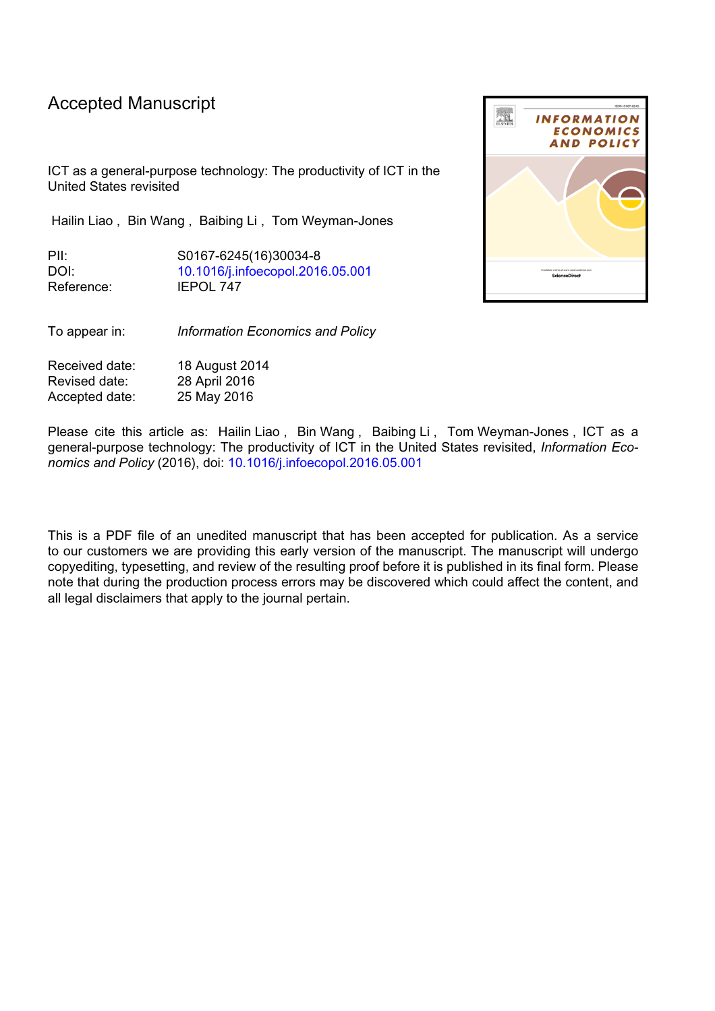# Accepted Manuscript

ICT as a general-purpose technology: The productivity of ICT in the United States revisited

Hailin Liao , Bin Wang , Baibing Li , Tom Weyman-Jones

PII: S0167-6245(16)30034-8 DOI: [10.1016/j.infoecopol.2016.05.001](http://dx.doi.org/10.1016/j.infoecopol.2016.05.001) Reference: IEPOL 747

To appear in: *Information Economics and Policy*

Received date: 18 August 2014 Revised date: 28 April 2016 Accepted date: 25 May 2016

Please cite this article as: Hailin Liao, Bin Wang, Baibing Li, Tom Weyman-Jones, ICT as a general-purpose technology: The productivity of ICT in the United States revisited, *Information Economics and Policy* (2016), doi: [10.1016/j.infoecopol.2016.05.001](http://dx.doi.org/10.1016/j.infoecopol.2016.05.001)

This is a PDF file of an unedited manuscript that has been accepted for publication. As a service to our customers we are providing this early version of the manuscript. The manuscript will undergo copyediting, typesetting, and review of the resulting proof before it is published in its final form. Please note that during the production process errors may be discovered which could affect the content, and all legal disclaimers that apply to the journal pertain.

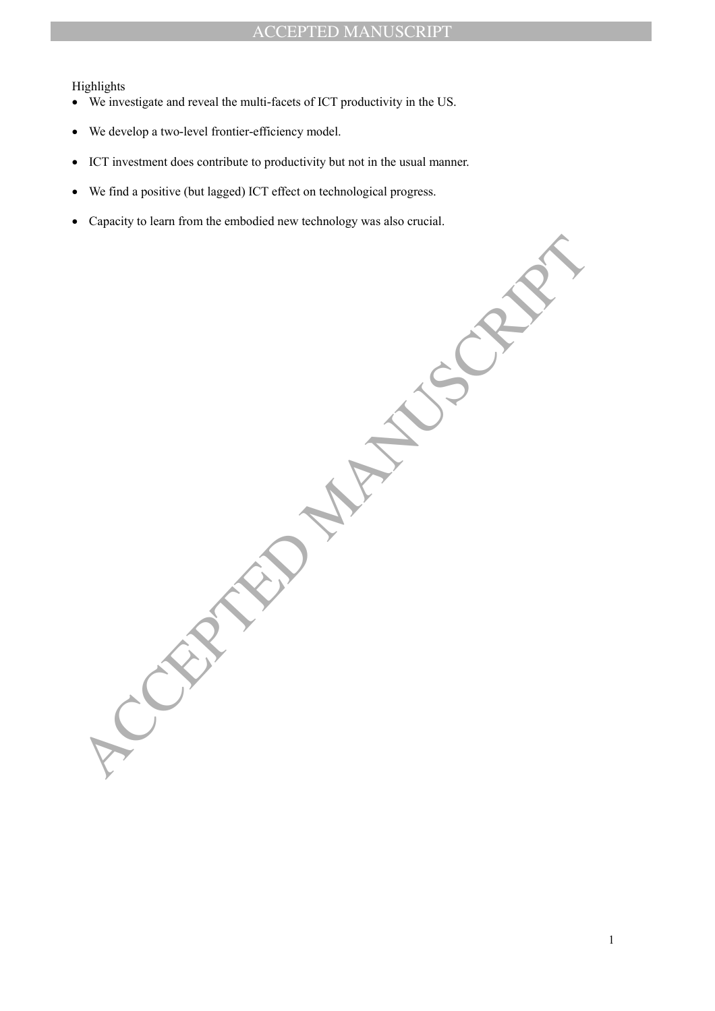Highlights

- We investigate and reveal the multi-facets of ICT productivity in the US.
- We develop a two-level frontier-efficiency model.
- ICT investment does contribute to productivity but not in the usual manner.
- We find a positive (but lagged) ICT effect on technological progress.
- Capacity to learn from the embodied new technology was also crucial.

ACCEPTED MANUSCRIPT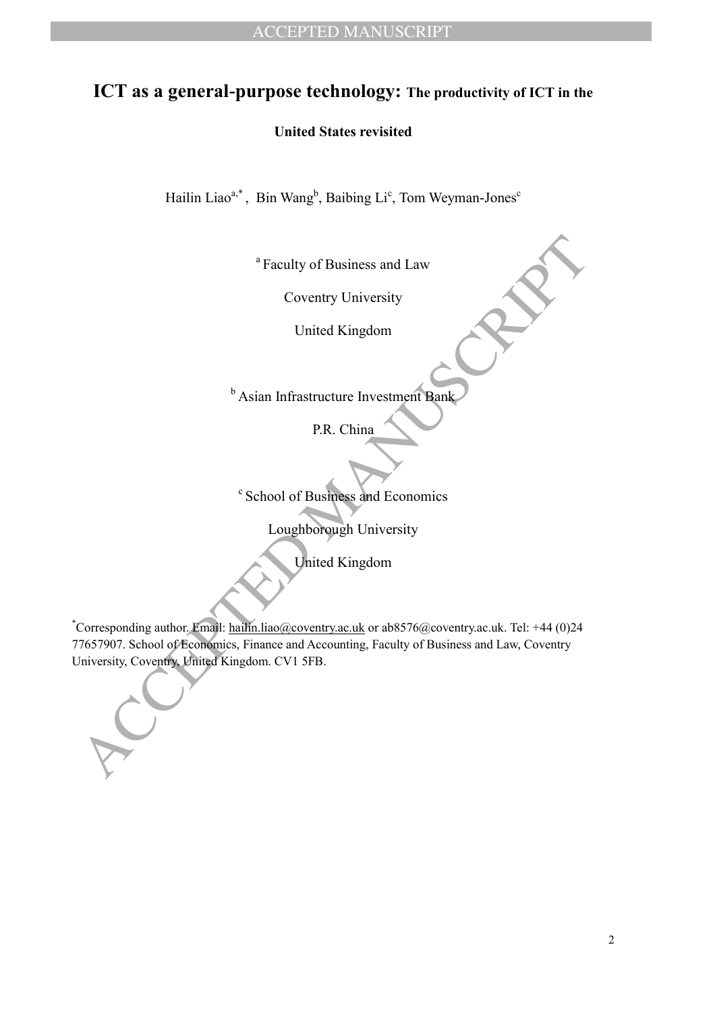# **ICT as a general-purpose technology: The productivity of ICT in the**

# **United States revisited**

Hailin Liao<sup>a,\*</sup>, Bin Wang<sup>b</sup>, Baibing Li<sup>c</sup>, Tom Weyman-Jones<sup>c</sup>

<sup>a</sup> Faculty of Business and Law

Coventry University

United Kingdom

**b** Asian Infrastructure Investment Bank

P.R. China

c School of Business and Economics

Loughborough University

United Kingdom

<sup>4</sup> Faculty of Business and I aw<br>
Coventry University<br>
United Kingdom<br>
<sup>b</sup> Asian Infrastructure Investment **Rank**<br>
P.R. China<br>
P.R. China<br>
P.R. China<br>
P.R. China<br>
P.R. China<br>
Corresponding author Finith Lumbin line/*i* bec \*Corresponding author. Email: hailin.liao@coventry.ac.uk or ab8576@coventry.ac.uk. Tel: +44 (0)24 77657907. School of Economics, Finance and Accounting, Faculty of Business and Law, Coventry University, Coventry, United Kingdom. CV1 5FB.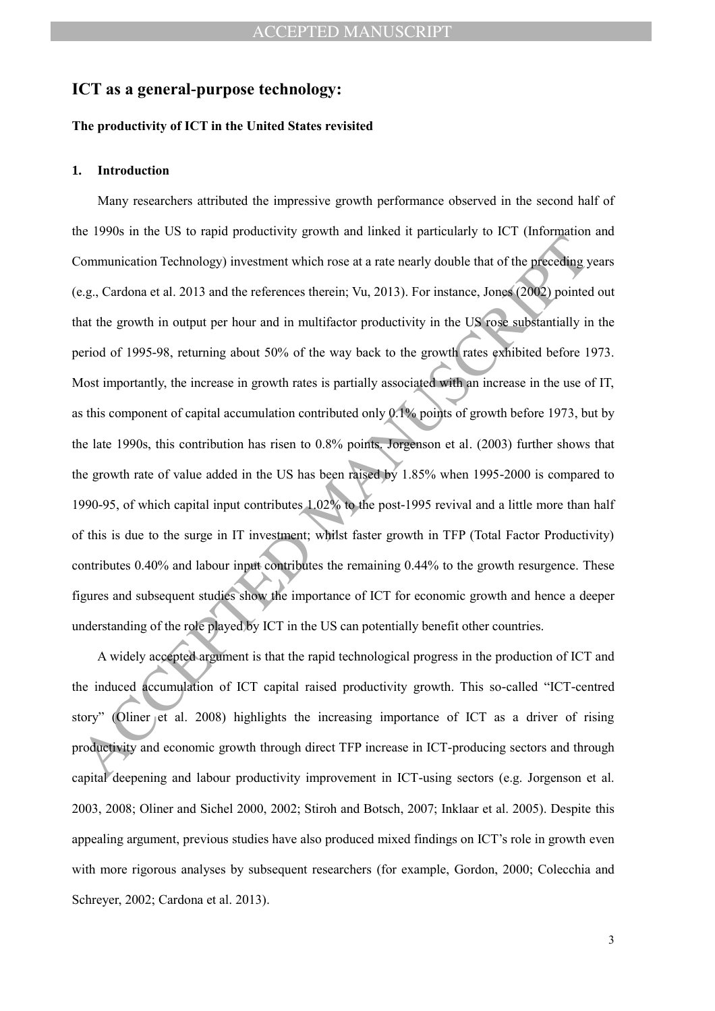# **ICT as a general-purpose technology:**

### **The productivity of ICT in the United States revisited**

#### **1. Introduction**

Communication Technology) investment which rose at a rate nearly double that of the preceding your<br>Communication Technology) investment which rose at a rate nearly double that of the preceding your eq. Cardona et al. 2013 Many researchers attributed the impressive growth performance observed in the second half of the 1990s in the US to rapid productivity growth and linked it particularly to ICT (Information and Communication Technology) investment which rose at a rate nearly double that of the preceding years (e.g., Cardona et al. 2013 and the references therein; Vu, 2013). For instance, Jones (2002) pointed out that the growth in output per hour and in multifactor productivity in the US rose substantially in the period of 1995-98, returning about 50% of the way back to the growth rates exhibited before 1973. Most importantly, the increase in growth rates is partially associated with an increase in the use of IT, as this component of capital accumulation contributed only 0.1% points of growth before 1973, but by the late 1990s, this contribution has risen to 0.8% points. Jorgenson et al. (2003) further shows that the growth rate of value added in the US has been raised by 1.85% when 1995-2000 is compared to 1990-95, of which capital input contributes 1.02% to the post-1995 revival and a little more than half of this is due to the surge in IT investment; whilst faster growth in TFP (Total Factor Productivity) contributes 0.40% and labour input contributes the remaining 0.44% to the growth resurgence. These figures and subsequent studies show the importance of ICT for economic growth and hence a deeper understanding of the role played by ICT in the US can potentially benefit other countries.

A widely accepted argument is that the rapid technological progress in the production of ICT and the induced accumulation of ICT capital raised productivity growth. This so-called "ICT-centred story" (Oliner et al. 2008) highlights the increasing importance of ICT as a driver of rising productivity and economic growth through direct TFP increase in ICT-producing sectors and through capital deepening and labour productivity improvement in ICT-using sectors (e.g. Jorgenson et al. 2003, 2008; Oliner and Sichel 2000, 2002; Stiroh and Botsch, 2007; Inklaar et al. 2005). Despite this appealing argument, previous studies have also produced mixed findings on ICT's role in growth even with more rigorous analyses by subsequent researchers (for example, Gordon, 2000; Colecchia and Schreyer, 2002; Cardona et al. 2013).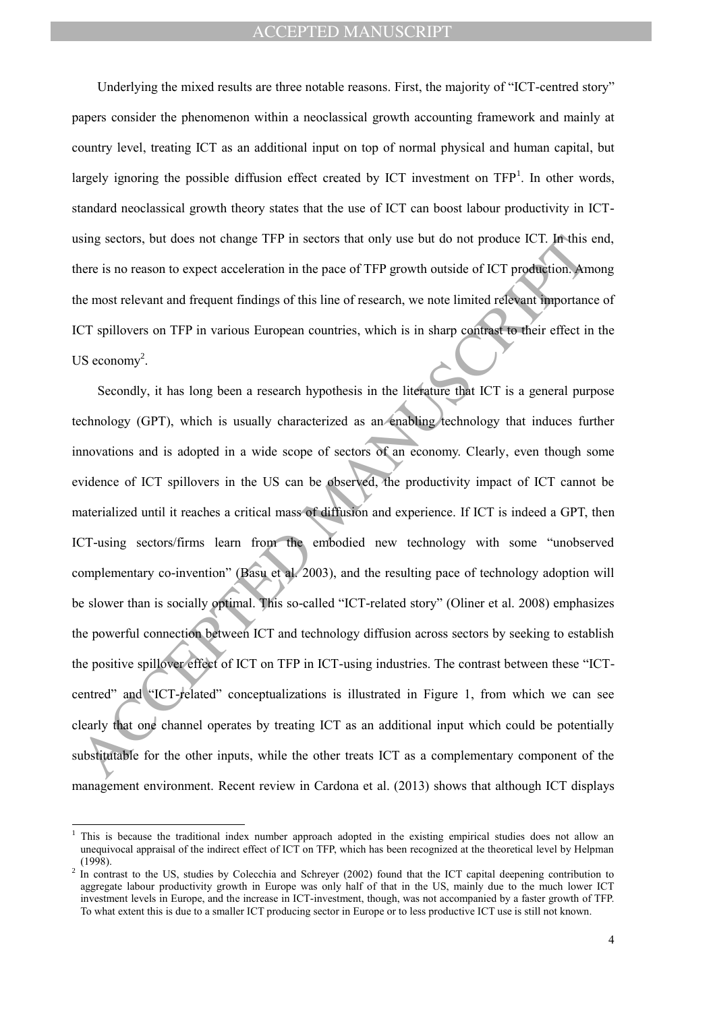Underlying the mixed results are three notable reasons. First, the majority of "ICT-centred story" papers consider the phenomenon within a neoclassical growth accounting framework and mainly at country level, treating ICT as an additional input on top of normal physical and human capital, but largely ignoring the possible diffusion effect created by ICT investment on  $TFP<sup>1</sup>$ . In other words, standard neoclassical growth theory states that the use of ICT can boost labour productivity in ICTusing sectors, but does not change TFP in sectors that only use but do not produce ICT. In this end, there is no reason to expect acceleration in the pace of TFP growth outside of ICT production. Among the most relevant and frequent findings of this line of research, we note limited relevant importance of ICT spillovers on TFP in various European countries, which is in sharp contrast to their effect in the US economy<sup>2</sup>.

using sectors, but does not change TFP in sectors that only use but do not produce ICT. In this there is no reason to expect acceleration in the pace of TFP growth outside of ICT production. An the most relevant and frequ Secondly, it has long been a research hypothesis in the literature that ICT is a general purpose technology (GPT), which is usually characterized as an enabling technology that induces further innovations and is adopted in a wide scope of sectors of an economy. Clearly, even though some evidence of ICT spillovers in the US can be observed, the productivity impact of ICT cannot be materialized until it reaches a critical mass of diffusion and experience. If ICT is indeed a GPT, then ICT-using sectors/firms learn from the embodied new technology with some "unobserved complementary co-invention" (Basu et al. 2003), and the resulting pace of technology adoption will be slower than is socially optimal. This so-called "ICT-related story" (Oliner et al. 2008) emphasizes the powerful connection between ICT and technology diffusion across sectors by seeking to establish the positive spillover effect of ICT on TFP in ICT-using industries. The contrast between these "ICTcentred" and "ICT-related" conceptualizations is illustrated in Figure 1, from which we can see clearly that one channel operates by treating ICT as an additional input which could be potentially substitutable for the other inputs, while the other treats ICT as a complementary component of the management environment. Recent review in Cardona et al. (2013) shows that although ICT displays

 $\overline{a}$ 

<sup>1</sup> This is because the traditional index number approach adopted in the existing empirical studies does not allow an unequivocal appraisal of the indirect effect of ICT on TFP, which has been recognized at the theoretical level by Helpman (1998).

 $2$  In contrast to the US, studies by Colecchia and Schreyer (2002) found that the ICT capital deepening contribution to aggregate labour productivity growth in Europe was only half of that in the US, mainly due to the much lower ICT investment levels in Europe, and the increase in ICT-investment, though, was not accompanied by a faster growth of TFP. To what extent this is due to a smaller ICT producing sector in Europe or to less productive ICT use is still not known.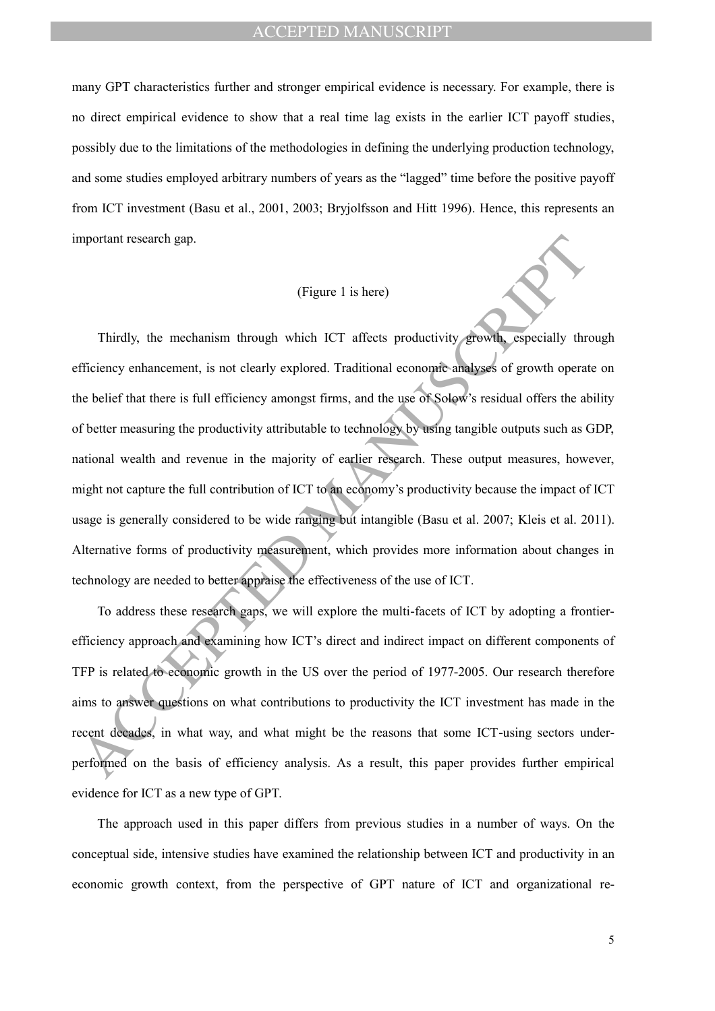many GPT characteristics further and stronger empirical evidence is necessary. For example, there is no direct empirical evidence to show that a real time lag exists in the earlier ICT payoff studies, possibly due to the limitations of the methodologies in defining the underlying production technology, and some studies employed arbitrary numbers of years as the "lagged" time before the positive payoff from ICT investment (Basu et al., 2001, 2003; Bryjolfsson and Hitt 1996). Hence, this represents an important research gap.

### (Figure 1 is here)

(Figure 1 is here)<br>
(Figure 1 is here)<br>
Thirdly, the mechanism through which ICT affects productivity growth, especially the<br>
difficiency enhancement, is not clearly explored. Traditional economic amalyses of growth operat Thirdly, the mechanism through which ICT affects productivity growth, especially through efficiency enhancement, is not clearly explored. Traditional economic analyses of growth operate on the belief that there is full efficiency amongst firms, and the use of Solow's residual offers the ability of better measuring the productivity attributable to technology by using tangible outputs such as GDP, national wealth and revenue in the majority of earlier research. These output measures, however, might not capture the full contribution of ICT to an economy's productivity because the impact of ICT usage is generally considered to be wide ranging but intangible (Basu et al. 2007; Kleis et al. 2011). Alternative forms of productivity measurement, which provides more information about changes in technology are needed to better appraise the effectiveness of the use of ICT.

To address these research gaps, we will explore the multi-facets of ICT by adopting a frontierefficiency approach and examining how ICT's direct and indirect impact on different components of TFP is related to economic growth in the US over the period of 1977-2005. Our research therefore aims to answer questions on what contributions to productivity the ICT investment has made in the recent decades, in what way, and what might be the reasons that some ICT-using sectors underperformed on the basis of efficiency analysis. As a result, this paper provides further empirical evidence for ICT as a new type of GPT.

The approach used in this paper differs from previous studies in a number of ways. On the conceptual side, intensive studies have examined the relationship between ICT and productivity in an economic growth context, from the perspective of GPT nature of ICT and organizational re-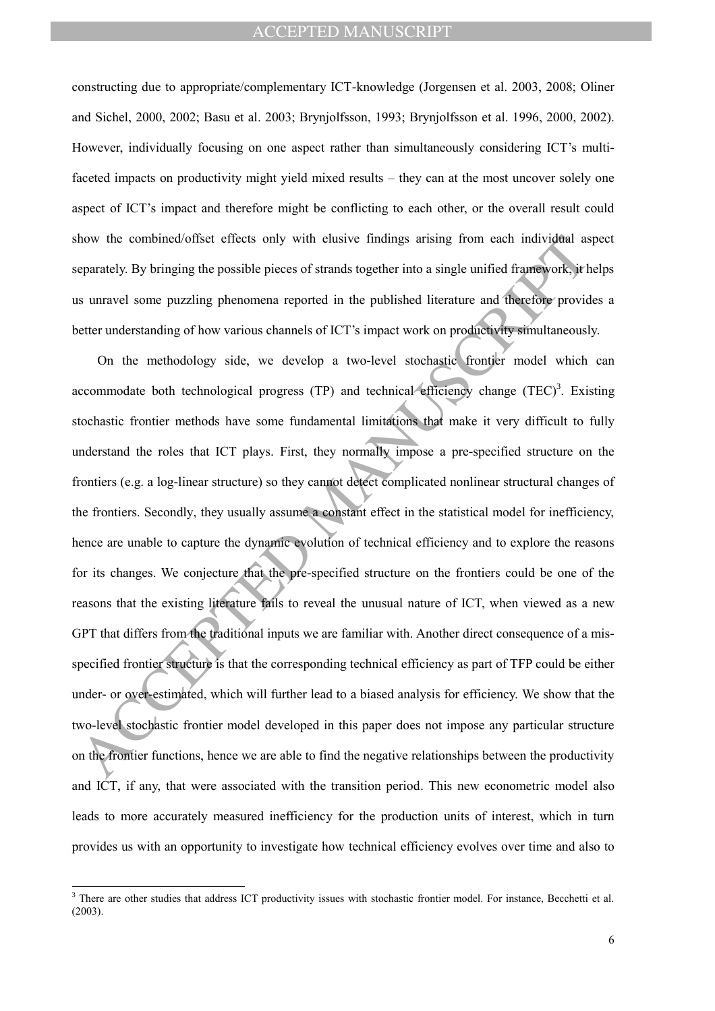constructing due to appropriate/complementary ICT-knowledge (Jorgensen et al. 2003, 2008; Oliner and Sichel, 2000, 2002; Basu et al. 2003; Brynjolfsson, 1993; Brynjolfsson et al. 1996, 2000, 2002). However, individually focusing on one aspect rather than simultaneously considering ICT's multifaceted impacts on productivity might yield mixed results – they can at the most uncover solely one aspect of ICT's impact and therefore might be conflicting to each other, or the overall result could show the combined/offset effects only with elusive findings arising from each individual aspect separately. By bringing the possible pieces of strands together into a single unified framework, it helps us unravel some puzzling phenomena reported in the published literature and therefore provides a better understanding of how various channels of ICT's impact work on productivity simultaneously.

how the combined/offset effects only with elusive findings arising from each individual as<br>eparately. By bringing the possible pieces of strands together into a single unified framework, it<br>is urravel some puzzling phenome On the methodology side, we develop a two-level stochastic frontier model which can accommodate both technological progress (TP) and technical efficiency change  $(TEC)^3$ . Existing stochastic frontier methods have some fundamental limitations that make it very difficult to fully understand the roles that ICT plays. First, they normally impose a pre-specified structure on the frontiers (e.g. a log-linear structure) so they cannot detect complicated nonlinear structural changes of the frontiers. Secondly, they usually assume a constant effect in the statistical model for inefficiency, hence are unable to capture the dynamic evolution of technical efficiency and to explore the reasons for its changes. We conjecture that the pre-specified structure on the frontiers could be one of the reasons that the existing literature fails to reveal the unusual nature of ICT, when viewed as a new GPT that differs from the traditional inputs we are familiar with. Another direct consequence of a misspecified frontier structure is that the corresponding technical efficiency as part of TFP could be either under- or over-estimated, which will further lead to a biased analysis for efficiency. We show that the two-level stochastic frontier model developed in this paper does not impose any particular structure on the frontier functions, hence we are able to find the negative relationships between the productivity and ICT, if any, that were associated with the transition period. This new econometric model also leads to more accurately measured inefficiency for the production units of interest, which in turn provides us with an opportunity to investigate how technical efficiency evolves over time and also to

 $\overline{a}$ 

<sup>&</sup>lt;sup>3</sup> There are other studies that address ICT productivity issues with stochastic frontier model. For instance, Becchetti et al. (2003).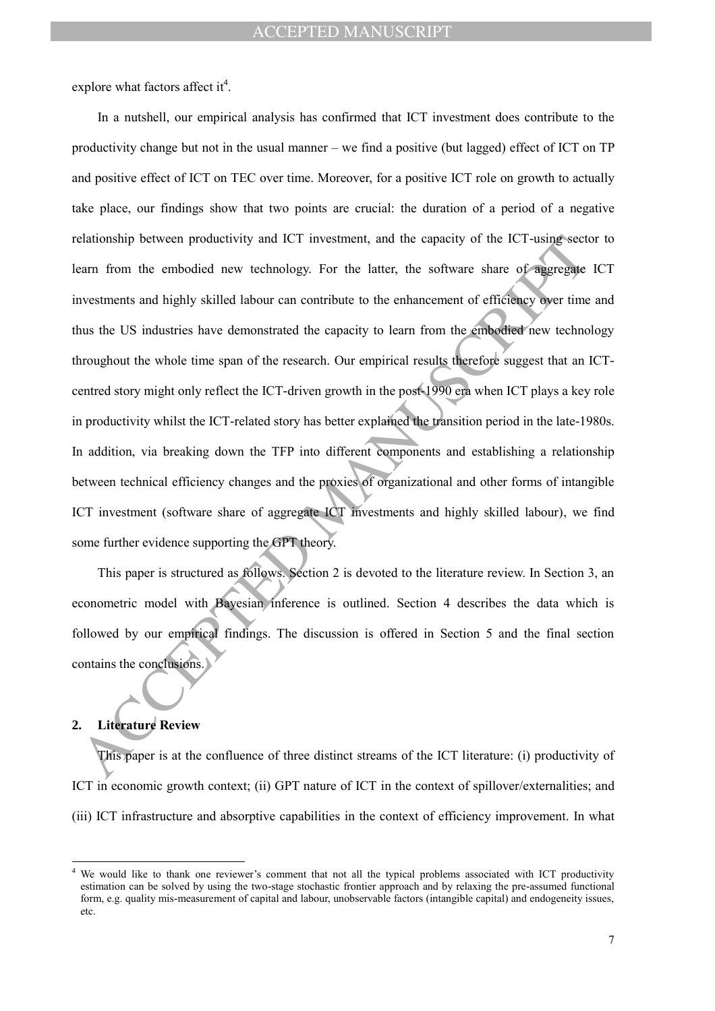explore what factors affect it<sup>4</sup>.

elationship between productivity and ICT investment, and the capacity of the ICT-using-sect<br>carn from the embodied new technology. For the latter, the software share of sparecage<br>constraints and highly skilled labour can c In a nutshell, our empirical analysis has confirmed that ICT investment does contribute to the productivity change but not in the usual manner – we find a positive (but lagged) effect of ICT on TP and positive effect of ICT on TEC over time. Moreover, for a positive ICT role on growth to actually take place, our findings show that two points are crucial: the duration of a period of a negative relationship between productivity and ICT investment, and the capacity of the ICT-using sector to learn from the embodied new technology. For the latter, the software share of aggregate ICT investments and highly skilled labour can contribute to the enhancement of efficiency over time and thus the US industries have demonstrated the capacity to learn from the embodied new technology throughout the whole time span of the research. Our empirical results therefore suggest that an ICTcentred story might only reflect the ICT-driven growth in the post-1990 era when ICT plays a key role in productivity whilst the ICT-related story has better explained the transition period in the late-1980s. In addition, via breaking down the TFP into different components and establishing a relationship between technical efficiency changes and the proxies of organizational and other forms of intangible ICT investment (software share of aggregate ICT investments and highly skilled labour), we find some further evidence supporting the GPT theory.

This paper is structured as follows. Section 2 is devoted to the literature review. In Section 3, an econometric model with Bayesian inference is outlined. Section 4 describes the data which is followed by our empirical findings. The discussion is offered in Section 5 and the final section contains the conclusions.

## **2. Literature Review**

 $\overline{a}$ 

This paper is at the confluence of three distinct streams of the ICT literature: (i) productivity of ICT in economic growth context; (ii) GPT nature of ICT in the context of spillover/externalities; and (iii) ICT infrastructure and absorptive capabilities in the context of efficiency improvement. In what

We would like to thank one reviewer's comment that not all the typical problems associated with ICT productivity estimation can be solved by using the two-stage stochastic frontier approach and by relaxing the pre-assumed functional form, e.g. quality mis-measurement of capital and labour, unobservable factors (intangible capital) and endogeneity issues, etc.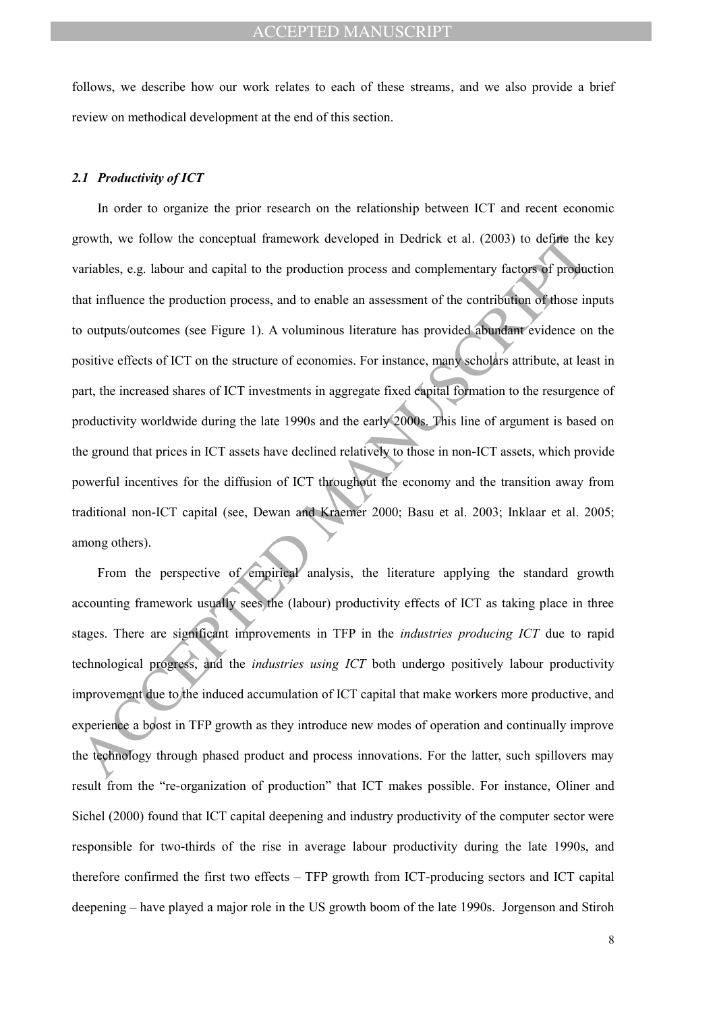follows, we describe how our work relates to each of these streams, and we also provide a brief review on methodical development at the end of this section.

#### *2.1 Productivity of ICT*

frowth, we follow the conceptual framework developed in Dedrick et al. (2003) to define the ariables, e.g. labour and equidat to the production process and complementary factors of product<br>ariables, e.g. labour and equidat In order to organize the prior research on the relationship between ICT and recent economic growth, we follow the conceptual framework developed in Dedrick et al. (2003) to define the key variables, e.g. labour and capital to the production process and complementary factors of production that influence the production process, and to enable an assessment of the contribution of those inputs to outputs/outcomes (see Figure 1). A voluminous literature has provided abundant evidence on the positive effects of ICT on the structure of economies. For instance, many scholars attribute, at least in part, the increased shares of ICT investments in aggregate fixed capital formation to the resurgence of productivity worldwide during the late 1990s and the early 2000s. This line of argument is based on the ground that prices in ICT assets have declined relatively to those in non-ICT assets, which provide powerful incentives for the diffusion of ICT throughout the economy and the transition away from traditional non-ICT capital (see, Dewan and Kraemer 2000; Basu et al. 2003; Inklaar et al. 2005; among others).

From the perspective of empirical analysis, the literature applying the standard growth accounting framework usually sees the (labour) productivity effects of ICT as taking place in three stages. There are significant improvements in TFP in the *industries producing ICT* due to rapid technological progress, and the *industries using ICT* both undergo positively labour productivity improvement due to the induced accumulation of ICT capital that make workers more productive, and experience a boost in TFP growth as they introduce new modes of operation and continually improve the technology through phased product and process innovations. For the latter, such spillovers may result from the "re-organization of production" that ICT makes possible. For instance, Oliner and Sichel (2000) found that ICT capital deepening and industry productivity of the computer sector were responsible for two-thirds of the rise in average labour productivity during the late 1990s, and therefore confirmed the first two effects – TFP growth from ICT-producing sectors and ICT capital deepening – have played a major role in the US growth boom of the late 1990s. Jorgenson and Stiroh

8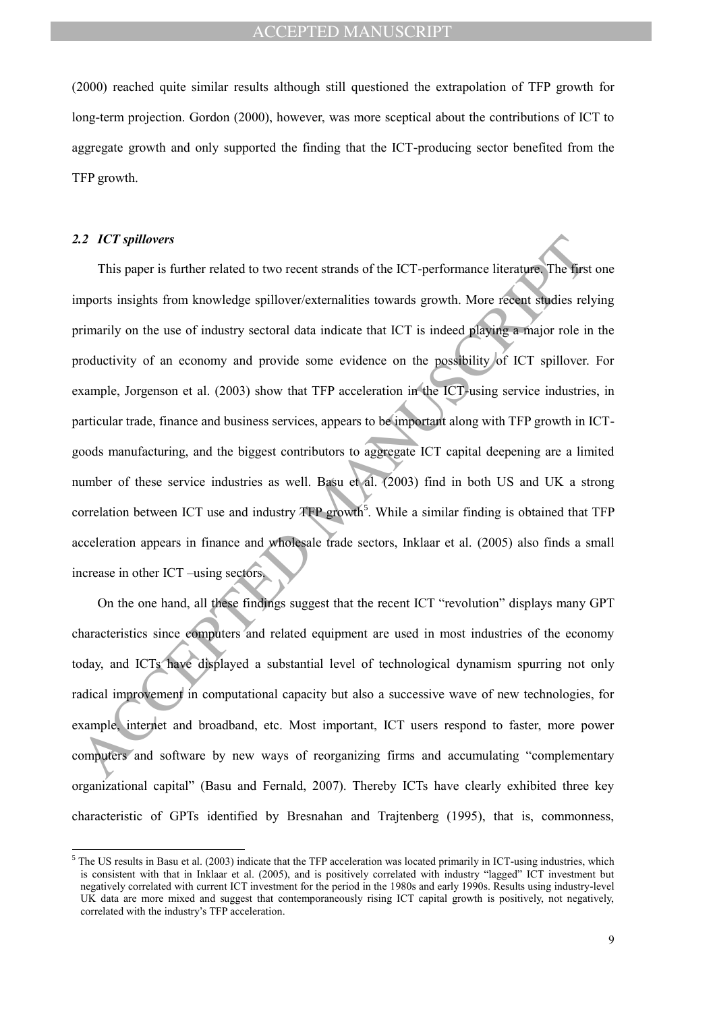(2000) reached quite similar results although still questioned the extrapolation of TFP growth for long-term projection. Gordon (2000), however, was more sceptical about the contributions of ICT to aggregate growth and only supported the finding that the ICT-producing sector benefited from the TFP growth.

#### *2.2 ICT spillovers*

 $\overline{a}$ 

2.2 *ICT spillovers*<br>
This paper is further related to two recent strands of the ICT-performance literature. The first<br>
upports insights from knowledge spillover/externalities towards growth. More recent studies rel<br>
uppo This paper is further related to two recent strands of the ICT-performance literature. The first one imports insights from knowledge spillover/externalities towards growth. More recent studies relying primarily on the use of industry sectoral data indicate that ICT is indeed playing a major role in the productivity of an economy and provide some evidence on the possibility of ICT spillover. For example, Jorgenson et al. (2003) show that TFP acceleration in the ICT-using service industries, in particular trade, finance and business services, appears to be important along with TFP growth in ICTgoods manufacturing, and the biggest contributors to aggregate ICT capital deepening are a limited number of these service industries as well. Basu et al. (2003) find in both US and UK a strong correlation between ICT use and industry  $TFP$  growth<sup>5</sup>. While a similar finding is obtained that  $TFP$ acceleration appears in finance and wholesale trade sectors, Inklaar et al. (2005) also finds a small increase in other ICT –using sectors.

On the one hand, all these findings suggest that the recent ICT "revolution" displays many GPT characteristics since computers and related equipment are used in most industries of the economy today, and ICTs have displayed a substantial level of technological dynamism spurring not only radical improvement in computational capacity but also a successive wave of new technologies, for example, internet and broadband, etc. Most important, ICT users respond to faster, more power computers and software by new ways of reorganizing firms and accumulating "complementary organizational capital" (Basu and Fernald, 2007). Thereby ICTs have clearly exhibited three key characteristic of GPTs identified by Bresnahan and Trajtenberg (1995), that is, commonness,

 $<sup>5</sup>$  The US results in Basu et al. (2003) indicate that the TFP acceleration was located primarily in ICT-using industries, which</sup> is consistent with that in Inklaar et al. (2005), and is positively correlated with industry "lagged" ICT investment but negatively correlated with current ICT investment for the period in the 1980s and early 1990s. Results using industry-level UK data are more mixed and suggest that contemporaneously rising ICT capital growth is positively, not negatively, correlated with the industry's TFP acceleration.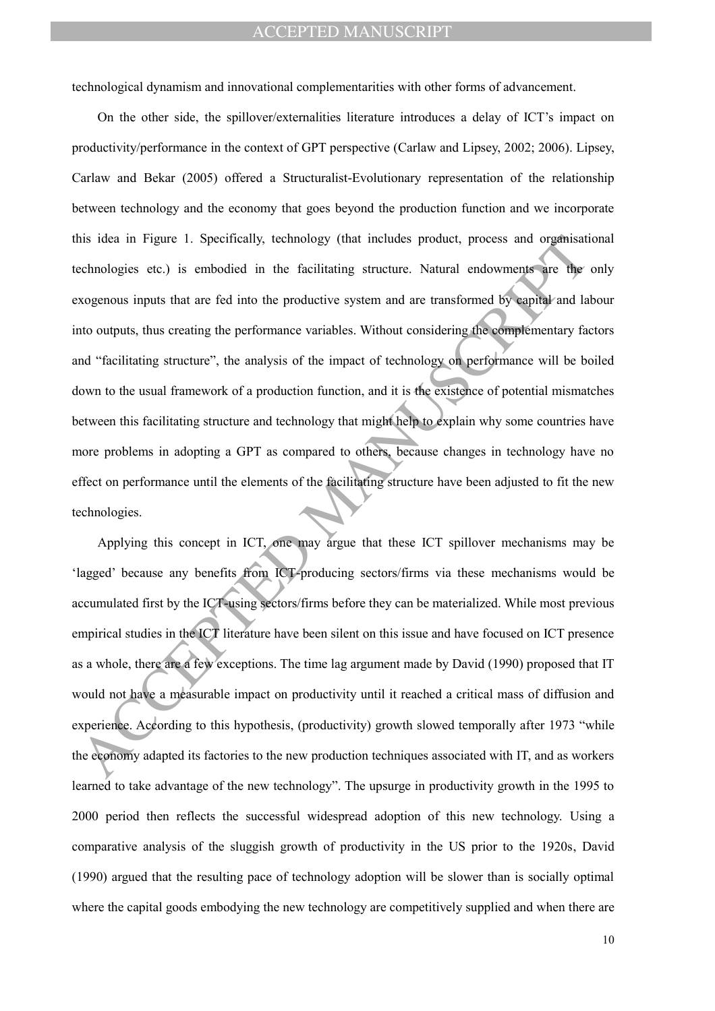technological dynamism and innovational complementarities with other forms of advancement.

is idea in Figure 1. Specifically, technology (that includes product, process and organisatic<br>cchnologics etc.) is embodied in the ficclitating structure. Natural endowments are the<br>xogenous inputs that are fed into the pr On the other side, the spillover/externalities literature introduces a delay of ICT's impact on productivity/performance in the context of GPT perspective (Carlaw and Lipsey, 2002; 2006). Lipsey, Carlaw and Bekar (2005) offered a Structuralist-Evolutionary representation of the relationship between technology and the economy that goes beyond the production function and we incorporate this idea in Figure 1. Specifically, technology (that includes product, process and organisational technologies etc.) is embodied in the facilitating structure. Natural endowments are the only exogenous inputs that are fed into the productive system and are transformed by capital and labour into outputs, thus creating the performance variables. Without considering the complementary factors and "facilitating structure", the analysis of the impact of technology on performance will be boiled down to the usual framework of a production function, and it is the existence of potential mismatches between this facilitating structure and technology that might help to explain why some countries have more problems in adopting a GPT as compared to others, because changes in technology have no effect on performance until the elements of the facilitating structure have been adjusted to fit the new technologies.

Applying this concept in ICT, one may argue that these ICT spillover mechanisms may be 'lagged' because any benefits from ICT-producing sectors/firms via these mechanisms would be accumulated first by the ICT-using sectors/firms before they can be materialized. While most previous empirical studies in the ICT literature have been silent on this issue and have focused on ICT presence as a whole, there are a few exceptions. The time lag argument made by David (1990) proposed that IT would not have a measurable impact on productivity until it reached a critical mass of diffusion and experience. According to this hypothesis, (productivity) growth slowed temporally after 1973 "while the economy adapted its factories to the new production techniques associated with IT, and as workers learned to take advantage of the new technology". The upsurge in productivity growth in the 1995 to 2000 period then reflects the successful widespread adoption of this new technology. Using a comparative analysis of the sluggish growth of productivity in the US prior to the 1920s, David (1990) argued that the resulting pace of technology adoption will be slower than is socially optimal where the capital goods embodying the new technology are competitively supplied and when there are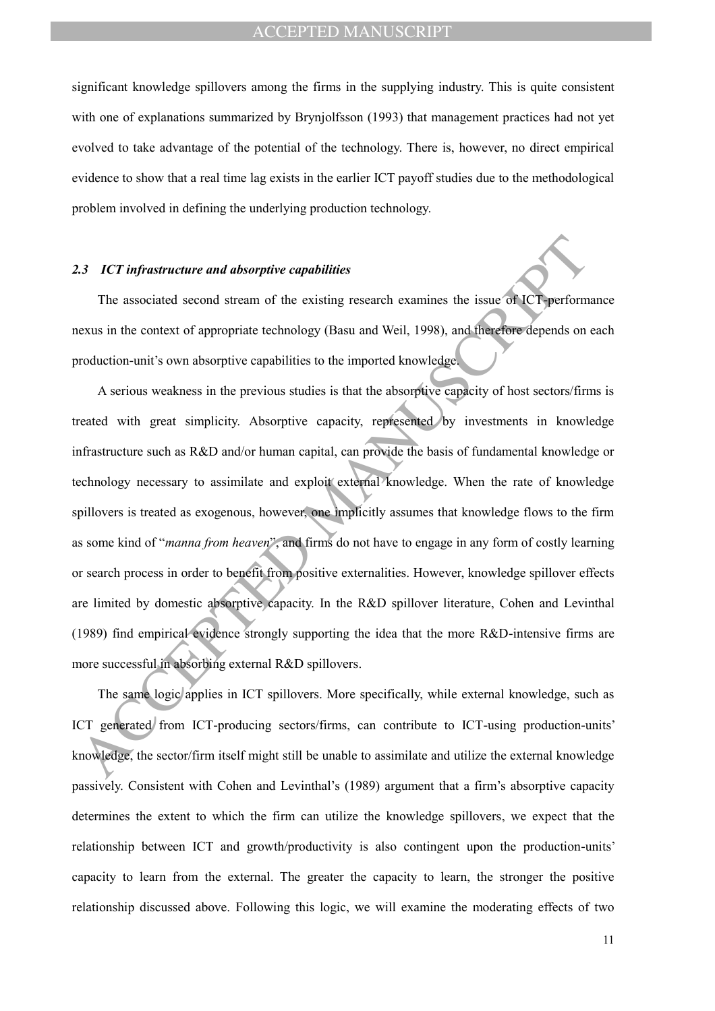significant knowledge spillovers among the firms in the supplying industry. This is quite consistent with one of explanations summarized by Brynjolfsson (1993) that management practices had not yet evolved to take advantage of the potential of the technology. There is, however, no direct empirical evidence to show that a real time lag exists in the earlier ICT payoff studies due to the methodological problem involved in defining the underlying production technology.

#### *2.3 ICT infrastructure and absorptive capabilities*

The associated second stream of the existing research examines the issue of ICT-performance nexus in the context of appropriate technology (Basu and Weil, 1998), and therefore depends on each production-unit's own absorptive capabilities to the imported knowledge.

**E.3** *ICT* **infrastructure and absorptive capabilities<br>
The associated second stream of the existing research examines the issue of ICT perform<br>
nexus in the context of appropriate technology (Pasu and Weil, 1998), and th** A serious weakness in the previous studies is that the absorptive capacity of host sectors/firms is treated with great simplicity. Absorptive capacity, represented by investments in knowledge infrastructure such as R&D and/or human capital, can provide the basis of fundamental knowledge or technology necessary to assimilate and exploit external knowledge. When the rate of knowledge spillovers is treated as exogenous, however, one implicitly assumes that knowledge flows to the firm as some kind of "*manna from heaven*", and firms do not have to engage in any form of costly learning or search process in order to benefit from positive externalities. However, knowledge spillover effects are limited by domestic absorptive capacity. In the R&D spillover literature, Cohen and Levinthal (1989) find empirical evidence strongly supporting the idea that the more R&D-intensive firms are more successful in absorbing external R&D spillovers.

The same logic applies in ICT spillovers. More specifically, while external knowledge, such as ICT generated from ICT-producing sectors/firms, can contribute to ICT-using production-units' knowledge, the sector/firm itself might still be unable to assimilate and utilize the external knowledge passively. Consistent with Cohen and Levinthal's (1989) argument that a firm's absorptive capacity determines the extent to which the firm can utilize the knowledge spillovers, we expect that the relationship between ICT and growth/productivity is also contingent upon the production-units' capacity to learn from the external. The greater the capacity to learn, the stronger the positive relationship discussed above. Following this logic, we will examine the moderating effects of two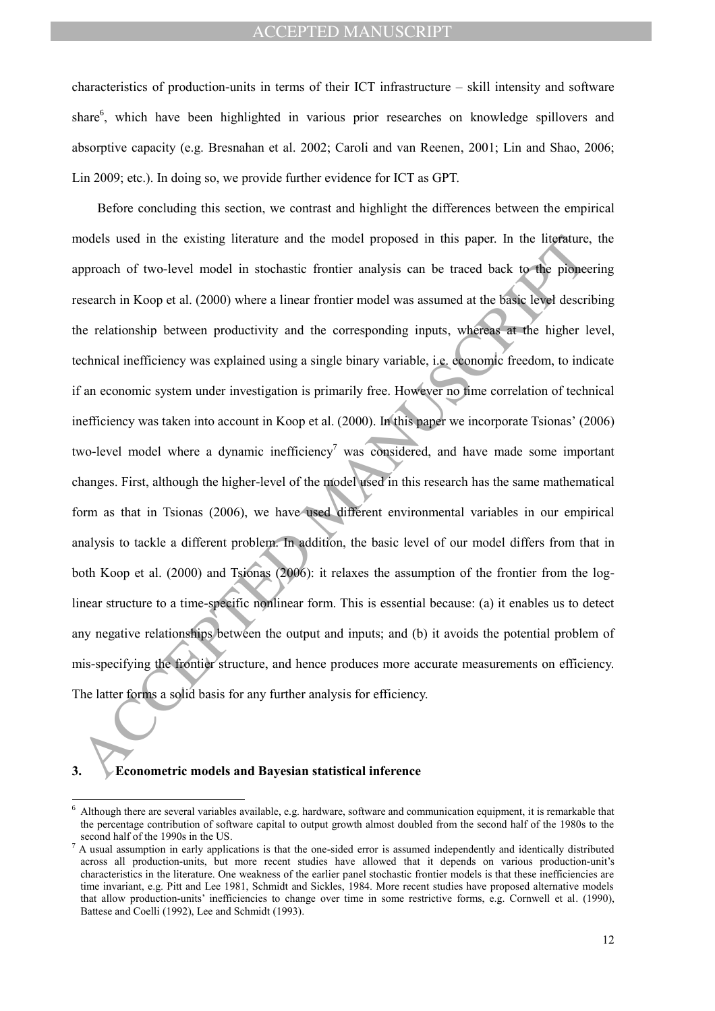characteristics of production-units in terms of their ICT infrastructure – skill intensity and software share<sup>6</sup>, which have been highlighted in various prior researches on knowledge spillovers and absorptive capacity (e.g. Bresnahan et al. 2002; Caroli and van Reenen, 2001; Lin and Shao, 2006; Lin 2009; etc.). In doing so, we provide further evidence for ICT as GPT.

nodels used in the existing literature and the model proposed in this paper. In the literature, pproach of two-level model in stochastic frontier analysis can be traced back to the proposed seserech in Koop et al. (2000) w Before concluding this section, we contrast and highlight the differences between the empirical models used in the existing literature and the model proposed in this paper. In the literature, the approach of two-level model in stochastic frontier analysis can be traced back to the pioneering research in Koop et al. (2000) where a linear frontier model was assumed at the basic level describing the relationship between productivity and the corresponding inputs, whereas at the higher level, technical inefficiency was explained using a single binary variable, i.e. economic freedom, to indicate if an economic system under investigation is primarily free. However no time correlation of technical inefficiency was taken into account in Koop et al. (2000). In this paper we incorporate Tsionas' (2006) two-level model where a dynamic inefficiency<sup>7</sup> was considered, and have made some important changes. First, although the higher-level of the model used in this research has the same mathematical form as that in Tsionas (2006), we have used different environmental variables in our empirical analysis to tackle a different problem. In addition, the basic level of our model differs from that in both Koop et al. (2000) and Tsionas (2006): it relaxes the assumption of the frontier from the loglinear structure to a time-specific nonlinear form. This is essential because: (a) it enables us to detect any negative relationships between the output and inputs; and (b) it avoids the potential problem of mis-specifying the frontier structure, and hence produces more accurate measurements on efficiency. The latter forms a solid basis for any further analysis for efficiency.

#### **3. Econometric models and Bayesian statistical inference**

 $\overline{a}$ 

<sup>6</sup> Although there are several variables available, e.g. hardware, software and communication equipment, it is remarkable that the percentage contribution of software capital to output growth almost doubled from the second half of the 1980s to the second half of the 1990s in the US.

<sup>7</sup> A usual assumption in early applications is that the one-sided error is assumed independently and identically distributed across all production-units, but more recent studies have allowed that it depends on various production-unit's characteristics in the literature. One weakness of the earlier panel stochastic frontier models is that these inefficiencies are time invariant, e.g. Pitt and Lee 1981, Schmidt and Sickles, 1984. More recent studies have proposed alternative models that allow production-units' inefficiencies to change over time in some restrictive forms, e.g. Cornwell et al. (1990), Battese and Coelli (1992), Lee and Schmidt (1993).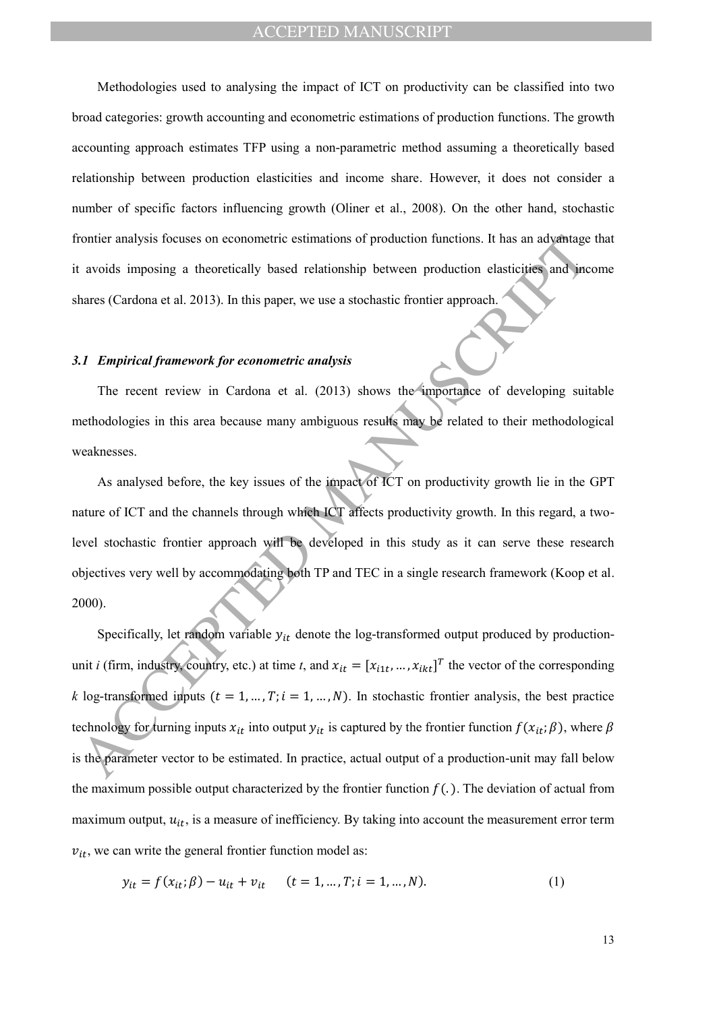Methodologies used to analysing the impact of ICT on productivity can be classified into two broad categories: growth accounting and econometric estimations of production functions. The growth accounting approach estimates TFP using a non-parametric method assuming a theoretically based relationship between production elasticities and income share. However, it does not consider a number of specific factors influencing growth (Oliner et al., 2008). On the other hand, stochastic frontier analysis focuses on econometric estimations of production functions. It has an advantage that it avoids imposing a theoretically based relationship between production elasticities and income shares (Cardona et al. 2013). In this paper, we use a stochastic frontier approach.

### *3.1 Empirical framework for econometric analysis*

The recent review in Cardona et al. (2013) shows the importance of developing suitable methodologies in this area because many ambiguous results may be related to their methodological weaknesses.

As analysed before, the key issues of the impact of ICT on productivity growth lie in the GPT nature of ICT and the channels through which ICT affects productivity growth. In this regard, a twolevel stochastic frontier approach will be developed in this study as it can serve these research objectives very well by accommodating both TP and TEC in a single research framework (Koop et al. 2000).

frontier analysis focuses on econometric estimations of production functions. It has an advantage<br>a vooids imposing a theoretically based relationship between production elasticities and incometric area (Cardona et al. 20 Specifically, let random variable  $y_{it}$  denote the log-transformed output produced by productionunit *i* (firm, industry, country, etc.) at time *t*, and  $x_{it} = [x_{i1t}, ..., x_{ikt}]^T$  the vector of the corresponding *k* log-transformed inputs  $(t = 1, ..., T; i = 1, ..., N)$ . In stochastic frontier analysis, the best practice technology for turning inputs  $x_{it}$  into output  $y_{it}$  is captured by the frontier function  $f(x_{it};\beta)$ , where  $\beta$ is the parameter vector to be estimated. In practice, actual output of a production-unit may fall below the maximum possible output characterized by the frontier function  $f(.)$ . The deviation of actual from maximum output,  $u_{it}$ , is a measure of inefficiency. By taking into account the measurement error term  $v_{it}$ , we can write the general frontier function model as:

$$
y_{it} = f(x_{it}; \beta) - u_{it} + v_{it} \qquad (t = 1, ..., T; i = 1, ..., N). \tag{1}
$$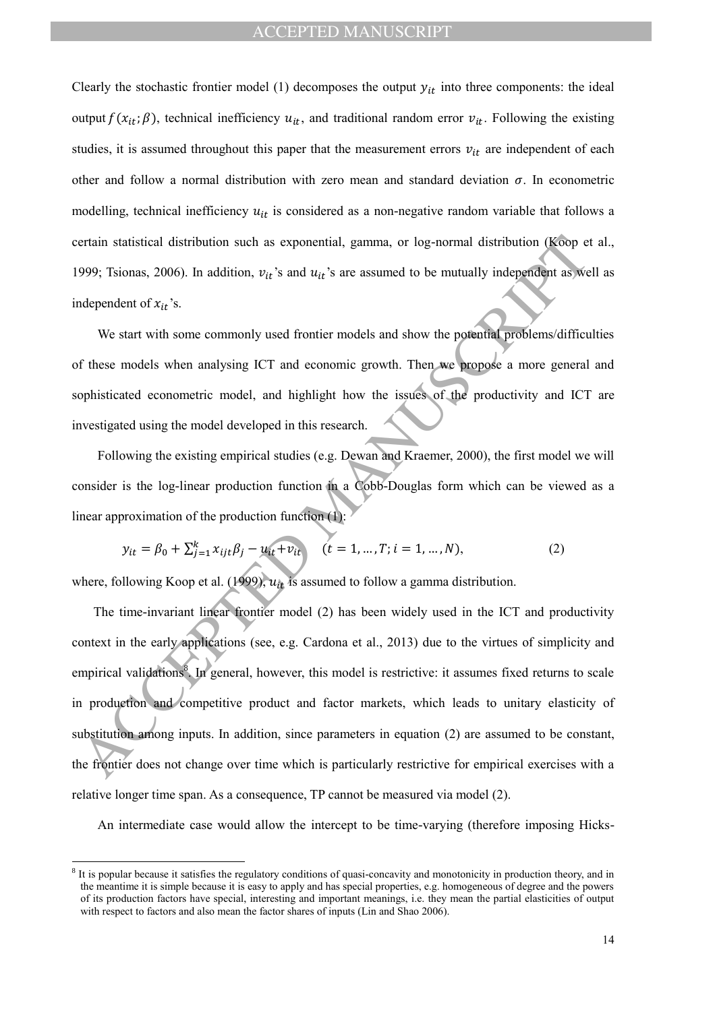Clearly the stochastic frontier model (1) decomposes the output  $y_{it}$  into three components: the ideal output  $f(x_{it};\beta)$ , technical inefficiency  $u_{it}$ , and traditional random error  $v_{it}$ . Following the existing studies, it is assumed throughout this paper that the measurement errors  $v_{it}$  are independent of each other and follow a normal distribution with zero mean and standard deviation  $\sigma$ . In econometric modelling, technical inefficiency  $u_{it}$  is considered as a non-negative random variable that follows a certain statistical distribution such as exponential, gamma, or log-normal distribution (Koop et al., 1999; Tsionas, 2006). In addition,  $v_{it}$ 's and  $u_{it}$ 's are assumed to be mutually independent as well as independent of  $x_{it}$ 's.

We start with some commonly used frontier models and show the potential problems/difficulties of these models when analysing ICT and economic growth. Then we propose a more general and sophisticated econometric model, and highlight how the issues of the productivity and ICT are investigated using the model developed in this research.

Following the existing empirical studies (e.g. Dewan and Kraemer, 2000), the first model we will consider is the log-linear production function in a Cobb-Douglas form which can be viewed as a linear approximation of the production function (1):

$$
y_{it} = \beta_0 + \sum_{j=1}^{k} x_{ijt} \beta_j - u_{it} + v_{it} \qquad (t = 1, ..., T; i = 1, ..., N),
$$
 (2)

where, following Koop et al. (1999),  $u_{it}$  is assumed to follow a gamma distribution.

 $\overline{a}$ 

ertain statistical distribution such as exponential, gamma, or log-normal distribution (k6op e<br>999; Tsionas, 2006). In addition,  $v_{lt}$ 's and  $u_{tt}$ 's are assumed to be mutually independent of x<sub>It</sub>'s.<br>
We start with some The time-invariant linear frontier model (2) has been widely used in the ICT and productivity context in the early applications (see, e.g. Cardona et al., 2013) due to the virtues of simplicity and empirical validations<sup>8</sup>. In general, however, this model is restrictive: it assumes fixed returns to scale in production and competitive product and factor markets, which leads to unitary elasticity of substitution among inputs. In addition, since parameters in equation (2) are assumed to be constant, the frontier does not change over time which is particularly restrictive for empirical exercises with a relative longer time span. As a consequence, TP cannot be measured via model (2).

An intermediate case would allow the intercept to be time-varying (therefore imposing Hicks-

<sup>&</sup>lt;sup>8</sup> It is popular because it satisfies the regulatory conditions of quasi-concavity and monotonicity in production theory, and in the meantime it is simple because it is easy to apply and has special properties, e.g. homogeneous of degree and the powers of its production factors have special, interesting and important meanings, i.e. they mean the partial elasticities of output with respect to factors and also mean the factor shares of inputs (Lin and Shao 2006).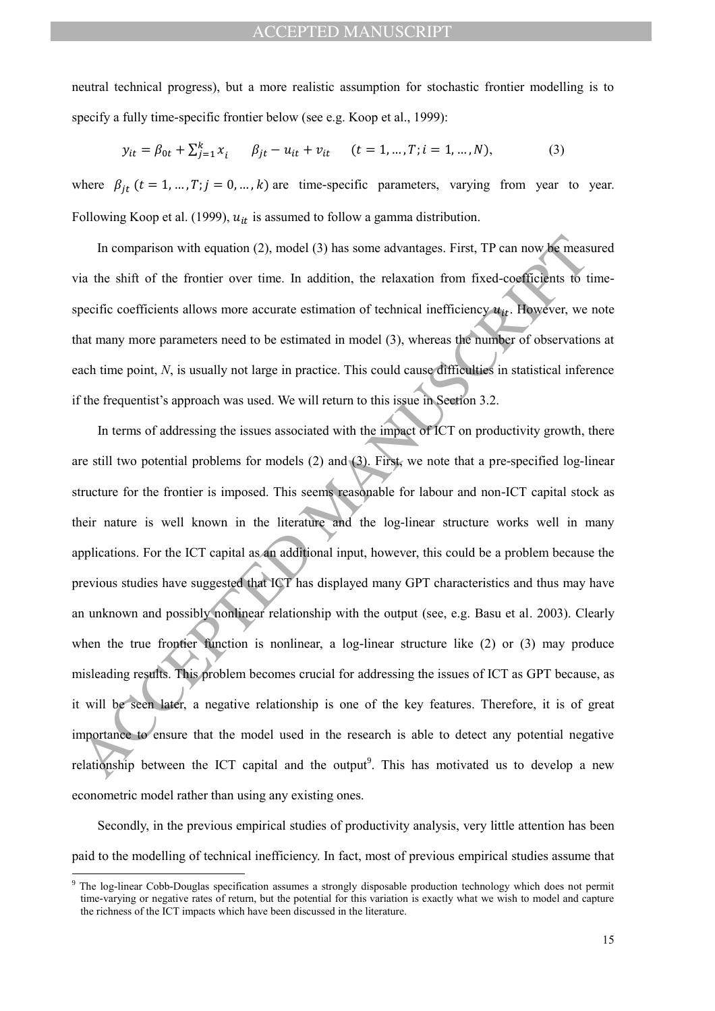neutral technical progress), but a more realistic assumption for stochastic frontier modelling is to specify a fully time-specific frontier below (see e.g. Koop et al., 1999):

$$
y_{it} = \beta_{0t} + \sum_{j=1}^{k} x_i \qquad \beta_{jt} - u_{it} + v_{it} \qquad (t = 1, ..., T; i = 1, ..., N), \tag{3}
$$

where  $\beta_{it}$  ( $t = 1, ..., T; j = 0, ..., k$ ) are time-specific parameters, varying from year to year. Following Koop et al. (1999),  $u_{it}$  is assumed to follow a gamma distribution.

In comparison with equation (2), model (3) has some advantages. First, TP can now be measured via the shift of the frontier over time. In addition, the relaxation from fixed-coefficients to timespecific coefficients allows more accurate estimation of technical inefficiency  $u_{it}$ . However, we note that many more parameters need to be estimated in model (3), whereas the number of observations at each time point, *N*, is usually not large in practice. This could cause difficulties in statistical inference if the frequentist's approach was used. We will return to this issue in Section 3.2.

In comparison with equation (2), model (3) has some advantages. First, TP can now be measure in the shift of the frontier over time. In addition, the relaxation from fixed-coefficients to the perific coefficients allows m In terms of addressing the issues associated with the impact of ICT on productivity growth, there are still two potential problems for models (2) and (3). First, we note that a pre-specified log-linear structure for the frontier is imposed. This seems reasonable for labour and non-ICT capital stock as their nature is well known in the literature and the log-linear structure works well in many applications. For the ICT capital as an additional input, however, this could be a problem because the previous studies have suggested that ICT has displayed many GPT characteristics and thus may have an unknown and possibly nonlinear relationship with the output (see, e.g. Basu et al. 2003). Clearly when the true frontier function is nonlinear, a log-linear structure like (2) or (3) may produce misleading results. This problem becomes crucial for addressing the issues of ICT as GPT because, as it will be seen later, a negative relationship is one of the key features. Therefore, it is of great importance to ensure that the model used in the research is able to detect any potential negative relationship between the ICT capital and the output<sup>9</sup>. This has motivated us to develop a new econometric model rather than using any existing ones.

Secondly, in the previous empirical studies of productivity analysis, very little attention has been paid to the modelling of technical inefficiency. In fact, most of previous empirical studies assume that

 $\overline{a}$ 

The log-linear Cobb-Douglas specification assumes a strongly disposable production technology which does not permit time-varying or negative rates of return, but the potential for this variation is exactly what we wish to model and capture the richness of the ICT impacts which have been discussed in the literature.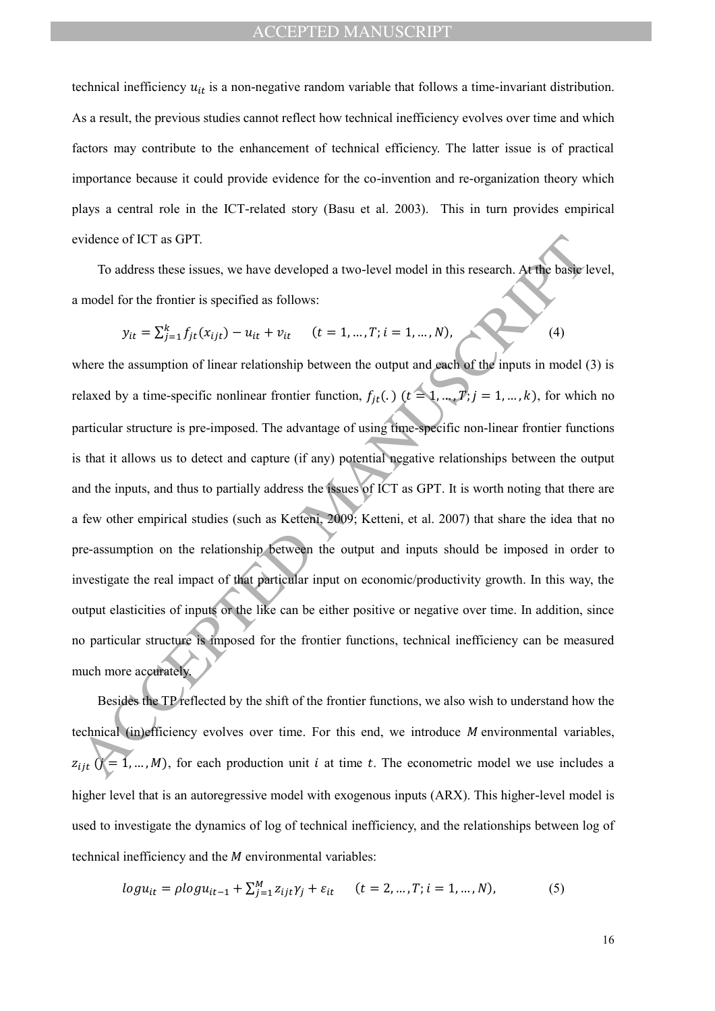technical inefficiency  $u_{it}$  is a non-negative random variable that follows a time-invariant distribution. As a result, the previous studies cannot reflect how technical inefficiency evolves over time and which factors may contribute to the enhancement of technical efficiency. The latter issue is of practical importance because it could provide evidence for the co-invention and re-organization theory which plays a central role in the ICT-related story (Basu et al. 2003). This in turn provides empirical evidence of ICT as GPT.

To address these issues, we have developed a two-level model in this research. At the basic level, a model for the frontier is specified as follows:

$$
y_{it} = \sum_{j=1}^{k} f_{jt}(x_{ijt}) - u_{it} + v_{it} \qquad (t = 1, ..., T; i = 1, ..., N),
$$
 (4)

vidence of ICT as GPT.<br>
To address these issues, we have developed a two-level model in this research. Arthie haster<br>
model for the frontier is specified as follows:<br>  $y_{tt} = \sum_{i=1}^{k} f_{it}(x_{ijt}) - u_{tt} + v_{tt}$   $(t = 1,...,T; i = 1,...,N)$ where the assumption of linear relationship between the output and each of the inputs in model (3) is relaxed by a time-specific nonlinear frontier function,  $f_{jt}$ .  $(t = 1, ..., T; j = 1, ..., k)$ , for which no particular structure is pre-imposed. The advantage of using time-specific non-linear frontier functions is that it allows us to detect and capture (if any) potential negative relationships between the output and the inputs, and thus to partially address the issues of ICT as GPT. It is worth noting that there are a few other empirical studies (such as Ketteni, 2009; Ketteni, et al. 2007) that share the idea that no pre-assumption on the relationship between the output and inputs should be imposed in order to investigate the real impact of that particular input on economic/productivity growth. In this way, the output elasticities of inputs or the like can be either positive or negative over time. In addition, since no particular structure is imposed for the frontier functions, technical inefficiency can be measured much more accurately.

Besides the TP reflected by the shift of the frontier functions, we also wish to understand how the technical (in)efficiency evolves over time. For this end, we introduce  $M$  environmental variables,  $z_{ijt}$   $(j = 1, ..., M)$ , for each production unit *i* at time *t*. The econometric model we use includes a higher level that is an autoregressive model with exogenous inputs (ARX). This higher-level model is used to investigate the dynamics of log of technical inefficiency, and the relationships between log of technical inefficiency and the  $M$  environmental variables:

$$
log u_{it} = \rho log u_{it-1} + \sum_{j=1}^{M} z_{ijt} \gamma_j + \varepsilon_{it} \qquad (t = 2, ..., T; i = 1, ..., N),
$$
 (5)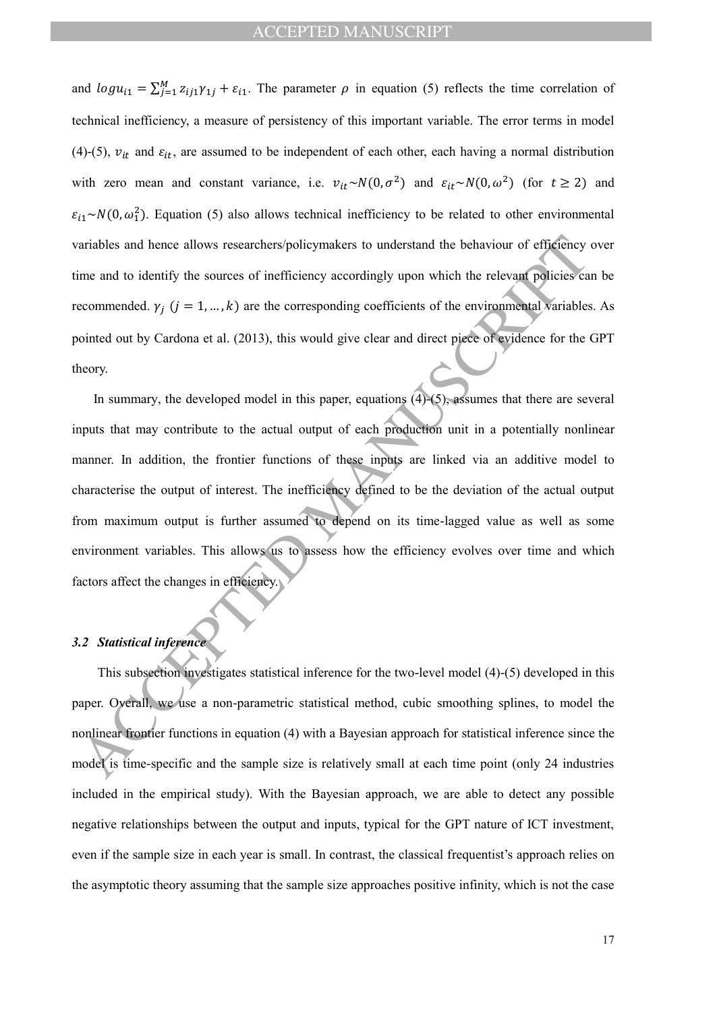and  $logu_{i1} = \sum_{j=1}^{M} z_{ij1} \gamma_{1j} + \varepsilon_{i1}$ . The parameter  $\rho$  in equation (5) reflects the time correlation of technical inefficiency, a measure of persistency of this important variable. The error terms in model (4)-(5),  $v_{it}$  and  $\varepsilon_{it}$ , are assumed to be independent of each other, each having a normal distribution with zero mean and constant variance, i.e.  $v_{it} \sim N(0, \sigma^2)$  and  $\varepsilon_{it} \sim N(0, \omega^2)$  (for  $t \ge 2$ ) and  $\varepsilon_{i1}$  ~ N(0,  $\omega_1^2$ ). Equation (5) also allows technical inefficiency to be related to other environmental variables and hence allows researchers/policymakers to understand the behaviour of efficiency over time and to identify the sources of inefficiency accordingly upon which the relevant policies can be recommended.  $\gamma_j$  ( $j = 1, ..., k$ ) are the corresponding coefficients of the environmental variables. As pointed out by Cardona et al. (2013), this would give clear and direct piece of evidence for the GPT theory.

ariables and hence allows researchers/policy/makers to understand the behaviour of efficiency<br>ine and to identify the sources of inefficiency accordingly upon which the relevant policies ca<br>econmended.  $y_j$  ( $j = 1,...,k$ ) ar In summary, the developed model in this paper, equations (4)-(5), assumes that there are several inputs that may contribute to the actual output of each production unit in a potentially nonlinear manner. In addition, the frontier functions of these inputs are linked via an additive model to characterise the output of interest. The inefficiency defined to be the deviation of the actual output from maximum output is further assumed to depend on its time-lagged value as well as some environment variables. This allows us to assess how the efficiency evolves over time and which factors affect the changes in efficiency.

## *3.2 Statistical inference*

This subsection investigates statistical inference for the two-level model (4)-(5) developed in this paper. Overall, we use a non-parametric statistical method, cubic smoothing splines, to model the nonlinear frontier functions in equation (4) with a Bayesian approach for statistical inference since the model is time-specific and the sample size is relatively small at each time point (only 24 industries included in the empirical study). With the Bayesian approach, we are able to detect any possible negative relationships between the output and inputs, typical for the GPT nature of ICT investment, even if the sample size in each year is small. In contrast, the classical frequentist's approach relies on the asymptotic theory assuming that the sample size approaches positive infinity, which is not the case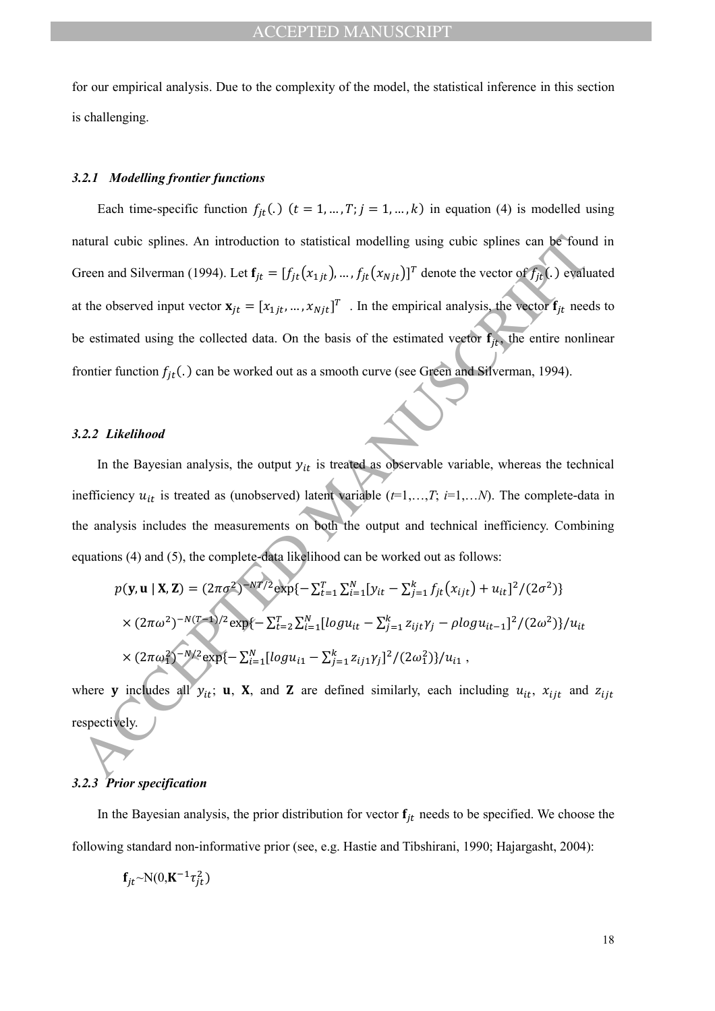for our empirical analysis. Due to the complexity of the model, the statistical inference in this section is challenging.

#### *3.2.1 Modelling frontier functions*

atural cubic splines. An introduction to statistical modelling using cubic splines can be found<br>
Freen and Silverman (1994). Let  $f_K = [f_{ft}(x_{1f}),...,f_{ft}(x_{Nf})]^T$  denote the vector of  $f_{if}$ , bevalue<br>
the observed input vector Each time-specific function  $f_{jt}(.)$  ( $t = 1, ..., T; j = 1, ..., k$ ) in equation (4) is modelled using natural cubic splines. An introduction to statistical modelling using cubic splines can be found in Green and Silverman (1994). Let  $f_{jt} = [f_{jt}(x_{1jt}), ..., f_{jt}(x_{Njt})]^T$  denote the vector of  $f_{jt}$ (.) evaluated at the observed input vector  $\mathbf{x}_{jt} = [x_{1jt}, ..., x_{Njt}]^T$ . In the empirical analysis, the vector  $\mathbf{f}_{jt}$  needs to be estimated using the collected data. On the basis of the estimated vector  $f_{it}$ , the entire nonlinear frontier function  $f_{it}$ .) can be worked out as a smooth curve (see Green and Silverman, 1994).

#### *3.2.2 Likelihood*

In the Bayesian analysis, the output  $y_{it}$  is treated as observable variable, whereas the technical inefficiency  $u_{it}$  is treated as (unobserved) latent variable  $(t=1,...,T; i=1,...N)$ . The complete-data in the analysis includes the measurements on both the output and technical inefficiency. Combining equations (4) and (5), the complete-data likelihood can be worked out as follows:

$$
p(\mathbf{y}, \mathbf{u} \mid \mathbf{X}, \mathbf{Z}) = (2\pi\sigma^2)^{-NT/2} \exp\{-\sum_{t=1}^T \sum_{i=1}^N [y_{it} - \sum_{j=1}^k f_{jt}(x_{ijt}) + u_{it}]^2 / (2\sigma^2)\}
$$
  
×  $(2\pi\omega^2)^{-N(T-1)/2} \exp\{-\sum_{t=2}^T \sum_{i=1}^N [log u_{it} - \sum_{j=1}^k z_{ijt} \gamma_j - \rho log u_{it-1}]^2 / (2\omega^2)\} / u_{it}$   
×  $(2\pi\omega_1^2)^{-N/2} \exp\{-\sum_{i=1}^N [log u_{i1} - \sum_{j=1}^k z_{ij1} \gamma_j]^2 / (2\omega_1^2)\} / u_{i1}$ ,

where **y** includes all  $y_{it}$ ; **u**, **X**, and **Z** are defined similarly, each including  $u_{it}$ ,  $x_{ijt}$  and  $z_{ijt}$ respectively.

### *3.2.3 Prior specification*

In the Bayesian analysis, the prior distribution for vector  $f_{it}$  needs to be specified. We choose the following standard non-informative prior (see, e.g. Hastie and Tibshirani, 1990; Hajargasht, 2004):

$$
\mathbf{f}_{jt} \sim N(0, \mathbf{K}^{-1} \tau_{jt}^2)
$$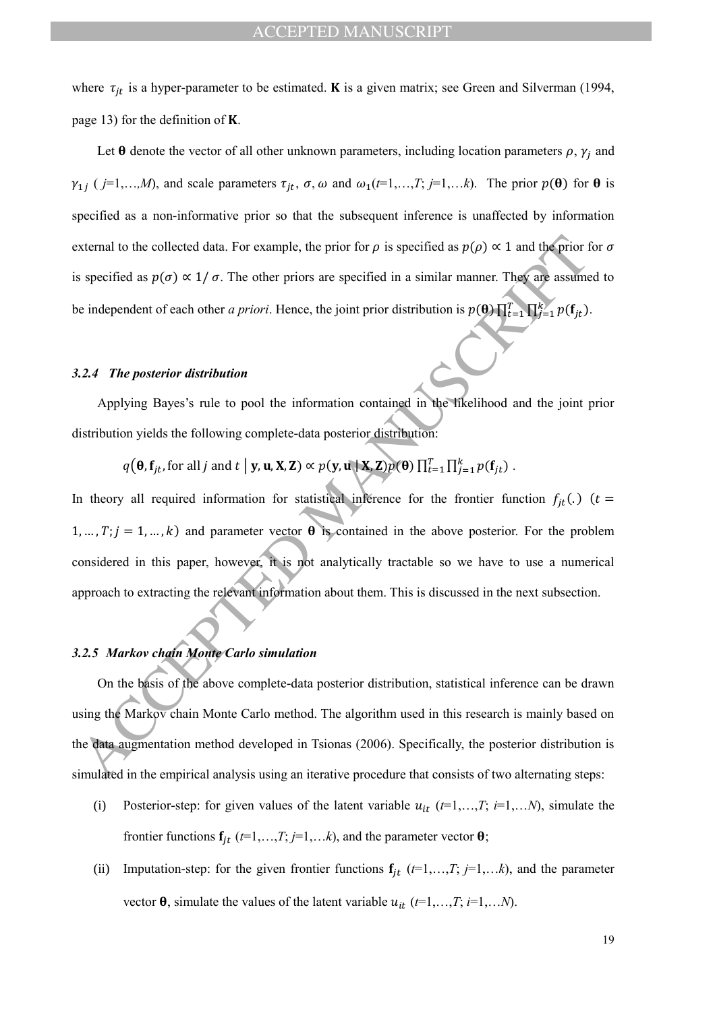where  $\tau_{jt}$  is a hyper-parameter to be estimated. **K** is a given matrix; see Green and Silverman (1994, page 13) for the definition of  $K$ .

Let  $\theta$  denote the vector of all other unknown parameters, including location parameters  $\rho$ ,  $\gamma_j$  and  $\gamma_{1j}$  ( *j*=1,…,*M*), and scale parameters  $\tau_{jt}$ ,  $\sigma$ ,  $\omega$  and  $\omega_1(t=1,...,T; j=1,...k)$ . The prior  $p(\theta)$  for  $\theta$  is specified as a non-informative prior so that the subsequent inference is unaffected by information external to the collected data. For example, the prior for  $\rho$  is specified as  $p(\rho) \propto 1$  and the prior for  $\sigma$ is specified as  $p(\sigma) \propto 1/\sigma$ . The other priors are specified in a similar manner. They are assumed to be independent of each other *a priori*. Hence, the joint prior distribution is  $p(\theta) \prod_{t=1}^{T} \prod_{j=1}^{k} p(f_j)$ .

#### *3.2.4 The posterior distribution*

Applying Bayes's rule to pool the information contained in the likelihood and the joint prior distribution yields the following complete-data posterior distribution:

 $q(\theta, \mathbf{f}_{jt}, \text{for all } j \text{ and } t \mid \mathbf{y}, \mathbf{u}, \mathbf{X}, \mathbf{Z}) \propto p(\mathbf{y}, \mathbf{u} \mid \mathbf{X}, \mathbf{Z}) p(\theta) \prod_{t=1}^T \prod_{j=1}^k p(\mathbf{f}_{jt})$ .

External to the collected data. For example, the prior for  $\rho$  is specified as  $p(\rho) \propto 1$  and the prior for specified as  $p(\sigma) \propto 1/\sigma$ . The other priors are specified in a similar manner. They are assumed in the imdepen In theory all required information for statistical inference for the frontier function  $f_{jt}(.)$  ( $t =$  $1, ..., T; j = 1, ..., k$ ) and parameter vector  $\theta$  is contained in the above posterior. For the problem considered in this paper, however, it is not analytically tractable so we have to use a numerical approach to extracting the relevant information about them. This is discussed in the next subsection.

### *3.2.5 Markov chain Monte Carlo simulation*

On the basis of the above complete-data posterior distribution, statistical inference can be drawn using the Markov chain Monte Carlo method. The algorithm used in this research is mainly based on the data augmentation method developed in Tsionas (2006). Specifically, the posterior distribution is simulated in the empirical analysis using an iterative procedure that consists of two alternating steps:

- (i) Posterior-step: for given values of the latent variable  $u_{it}$  ( $t=1,...,T$ ;  $i=1,...N$ ), simulate the frontier functions  $f_{jt}$  ( $t=1,...,T; j=1,...k$ ), and the parameter vector  $\theta$ ;
- (ii) Imputation-step: for the given frontier functions  $f_{jt}$  ( $t=1,...,T; j=1,...k$ ), and the parameter vector  $\theta$ , simulate the values of the latent variable  $u_{it}$  ( $t=1,...,T$ ;  $i=1,...N$ ).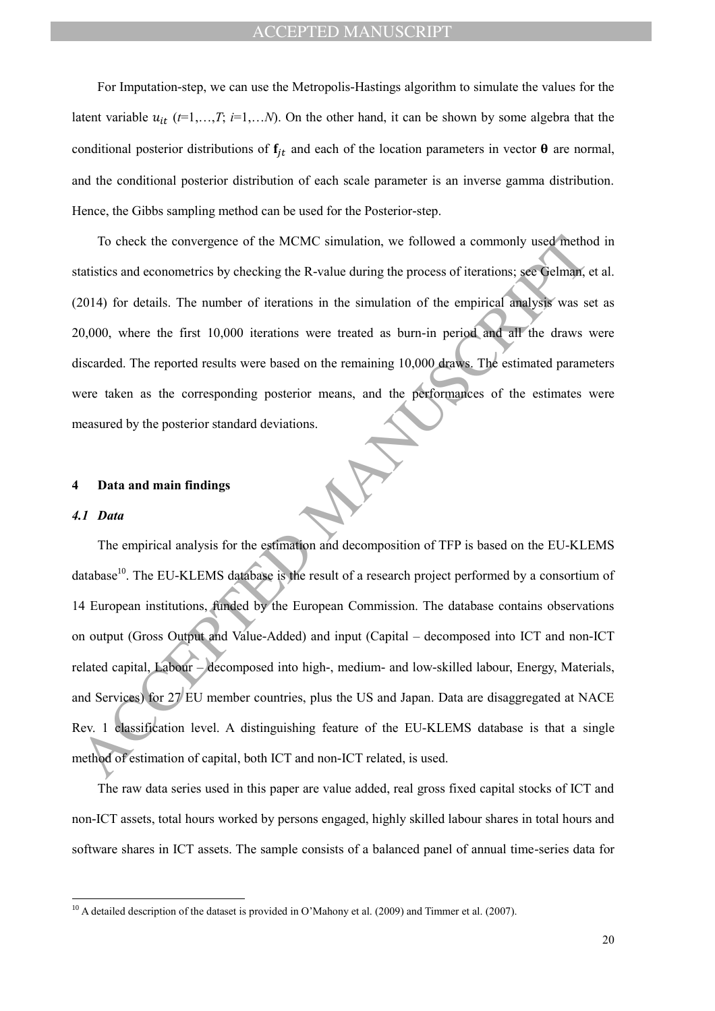For Imputation-step, we can use the Metropolis-Hastings algorithm to simulate the values for the latent variable  $u_{it}$  ( $t=1,...,T$ ;  $i=1,...N$ ). On the other hand, it can be shown by some algebra that the conditional posterior distributions of  $f_{jt}$  and each of the location parameters in vector  $\theta$  are normal, and the conditional posterior distribution of each scale parameter is an inverse gamma distribution. Hence, the Gibbs sampling method can be used for the Posterior-step.

To check the convergence of the MCMC simulation, we followed a commonly used method in statistics and econometrics by checking the R-value during the process of iterations; see Gelman, et al. (2014) for details. The number of iterations in the simulation of the empirical analysis was set as 20,000, where the first 10,000 iterations were treated as burn-in period and all the draws were discarded. The reported results were based on the remaining 10,000 draws. The estimated parameters were taken as the corresponding posterior means, and the performances of the estimates were measured by the posterior standard deviations.

#### **4 Data and main findings**

#### *4.1 Data*

 $\overline{a}$ 

To check the convergence of the MCMC simulation, we followed a commonly used meth<br>tatistics and econometrics by checking the R-value during the process of iterations; see Gelman,<br>2014) for details. The number of iteration The empirical analysis for the estimation and decomposition of TFP is based on the EU-KLEMS database<sup>10</sup>. The EU-KLEMS database is the result of a research project performed by a consortium of 14 European institutions, funded by the European Commission. The database contains observations on output (Gross Output and Value-Added) and input (Capital – decomposed into ICT and non-ICT related capital, Labour – decomposed into high-, medium- and low-skilled labour, Energy, Materials, and Services) for 27 EU member countries, plus the US and Japan. Data are disaggregated at NACE Rev. 1 classification level. A distinguishing feature of the EU-KLEMS database is that a single method of estimation of capital, both ICT and non-ICT related, is used.

The raw data series used in this paper are value added, real gross fixed capital stocks of ICT and non-ICT assets, total hours worked by persons engaged, highly skilled labour shares in total hours and software shares in ICT assets. The sample consists of a balanced panel of annual time-series data for

 $10$  A detailed description of the dataset is provided in O'Mahony et al. (2009) and Timmer et al. (2007).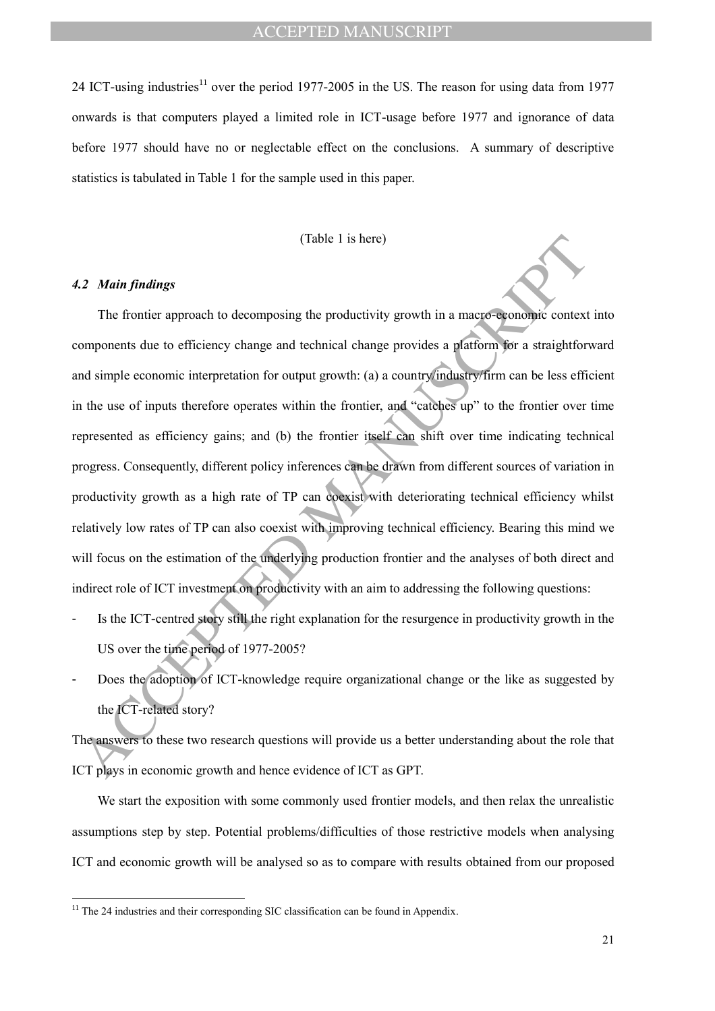24 ICT-using industries<sup>11</sup> over the period 1977-2005 in the US. The reason for using data from 1977 onwards is that computers played a limited role in ICT-usage before 1977 and ignorance of data before 1977 should have no or neglectable effect on the conclusions. A summary of descriptive statistics is tabulated in Table 1 for the sample used in this paper.

### (Table 1 is here)

## *4.2 Main findings*

 $\overline{a}$ 

(Table 1 is here)<br>
(Table 1 is here)<br>
(Table 1 is here)<br>
The frontier approach to decomposing the productivity growth in a macro-seconomic context<br>
emponents due to efficiency change and rechnical change provides a platfo The frontier approach to decomposing the productivity growth in a macro-economic context into components due to efficiency change and technical change provides a platform for a straightforward and simple economic interpretation for output growth: (a) a country/industry/firm can be less efficient in the use of inputs therefore operates within the frontier, and "catches up" to the frontier over time represented as efficiency gains; and (b) the frontier itself can shift over time indicating technical progress. Consequently, different policy inferences can be drawn from different sources of variation in productivity growth as a high rate of TP can coexist with deteriorating technical efficiency whilst relatively low rates of TP can also coexist with improving technical efficiency. Bearing this mind we will focus on the estimation of the underlying production frontier and the analyses of both direct and indirect role of ICT investment on productivity with an aim to addressing the following questions:

- Is the ICT-centred story still the right explanation for the resurgence in productivity growth in the US over the time period of 1977-2005?
- Does the adoption of ICT-knowledge require organizational change or the like as suggested by the ICT-related story?

The answers to these two research questions will provide us a better understanding about the role that ICT plays in economic growth and hence evidence of ICT as GPT.

We start the exposition with some commonly used frontier models, and then relax the unrealistic assumptions step by step. Potential problems/difficulties of those restrictive models when analysing ICT and economic growth will be analysed so as to compare with results obtained from our proposed

 $11$  The 24 industries and their corresponding SIC classification can be found in Appendix.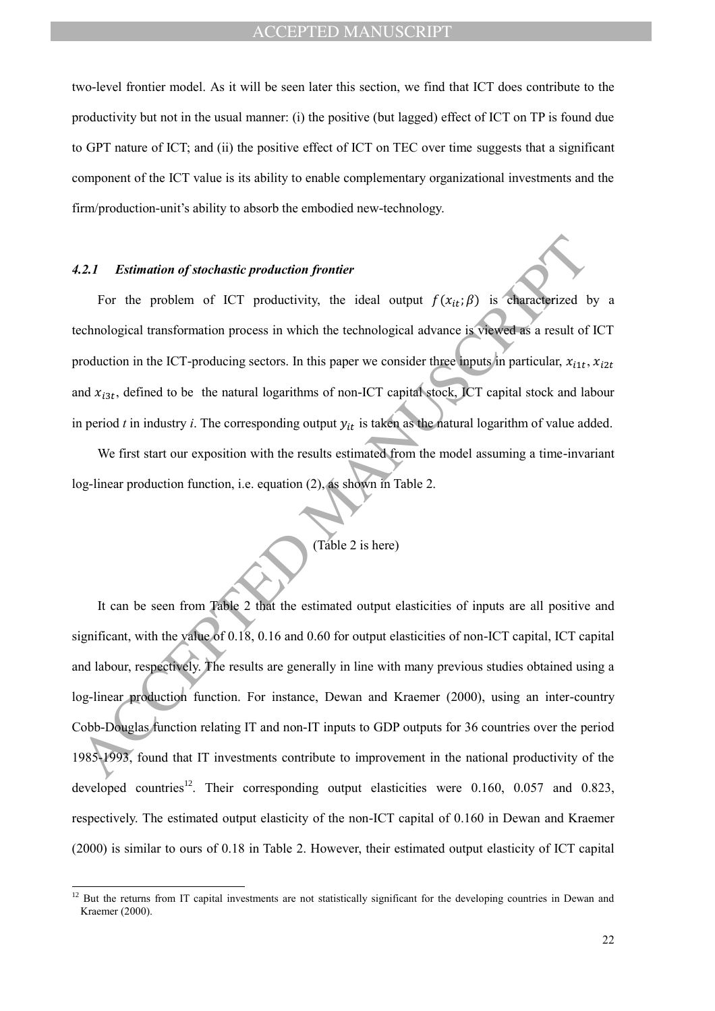two-level frontier model. As it will be seen later this section, we find that ICT does contribute to the productivity but not in the usual manner: (i) the positive (but lagged) effect of ICT on TP is found due to GPT nature of ICT; and (ii) the positive effect of ICT on TEC over time suggests that a significant component of the ICT value is its ability to enable complementary organizational investments and the firm/production-unit's ability to absorb the embodied new-technology.

### *4.2.1 Estimation of stochastic production frontier*

 $\overline{a}$ 

For the problem of ICT productivity, the ideal output  $f(x_{it}; \beta)$  is characterized by a technological transformation process in which the technological advance is viewed as a result of ICT production in the ICT-producing sectors. In this paper we consider three inputs in particular,  $x_{i1t}$ ,  $x_{i2t}$ and  $x_{i3t}$ , defined to be the natural logarithms of non-ICT capital stock, ICT capital stock and labour in period  $t$  in industry  $i$ . The corresponding output  $y_{it}$  is taken as the natural logarithm of value added.

We first start our exposition with the results estimated from the model assuming a time-invariant log-linear production function, i.e. equation (2), as shown in Table 2.

# (Table 2 is here)

Consideration of stochastic production frontier<br>
For the problem of ICT productivity, the ideal output  $f(x_{tt}; \beta)$  is characterized the<br>
cenhological transformation process in which the technological divance is viewed as a It can be seen from Table 2 that the estimated output elasticities of inputs are all positive and significant, with the value of 0.18, 0.16 and 0.60 for output elasticities of non-ICT capital, ICT capital and labour, respectively. The results are generally in line with many previous studies obtained using a log-linear production function. For instance, Dewan and Kraemer (2000), using an inter-country Cobb-Douglas function relating IT and non-IT inputs to GDP outputs for 36 countries over the period 1985-1993, found that IT investments contribute to improvement in the national productivity of the developed countries<sup>12</sup>. Their corresponding output elasticities were 0.160, 0.057 and 0.823, respectively. The estimated output elasticity of the non-ICT capital of 0.160 in Dewan and Kraemer (2000) is similar to ours of 0.18 in Table 2. However, their estimated output elasticity of ICT capital

 $12$  But the returns from IT capital investments are not statistically significant for the developing countries in Dewan and Kraemer (2000).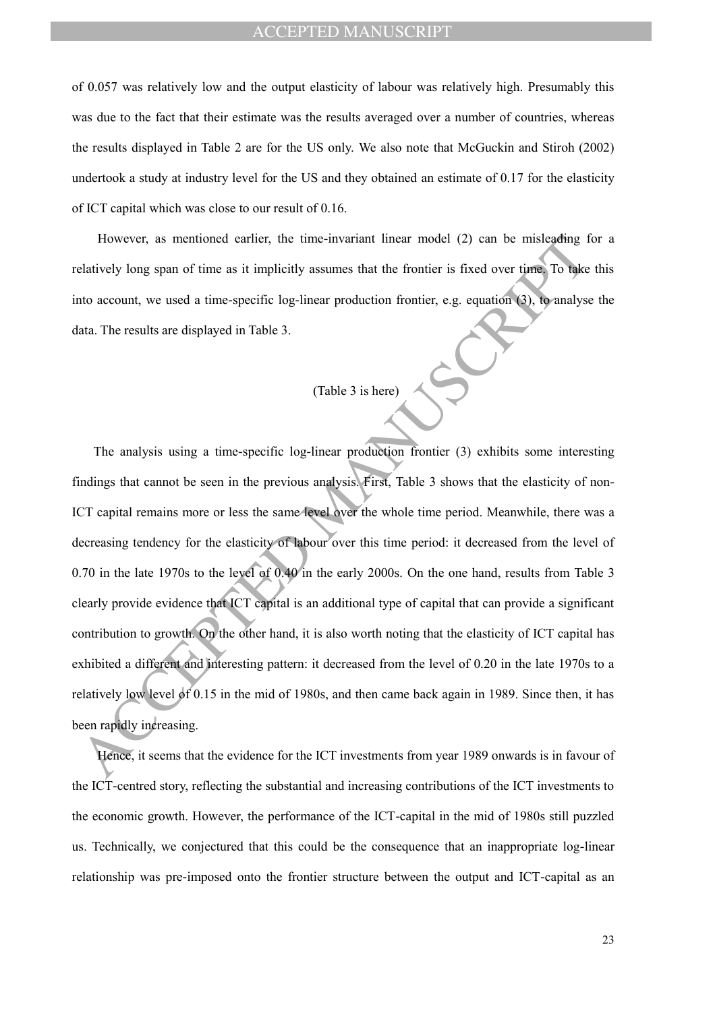of 0.057 was relatively low and the output elasticity of labour was relatively high. Presumably this was due to the fact that their estimate was the results averaged over a number of countries, whereas the results displayed in Table 2 are for the US only. We also note that McGuckin and Stiroh (2002) undertook a study at industry level for the US and they obtained an estimate of 0.17 for the elasticity of ICT capital which was close to our result of 0.16.

However, as mentioned earlier, the time-invariant linear model (2) can be misleading for a relatively long span of time as it implicitly assumes that the frontier is fixed over time. To take this into account, we used a time-specific log-linear production frontier, e.g. equation (3), to analyse the data. The results are displayed in Table 3.

# (Table 3 is here)

However, as mentioned earlier, the time-invariant linear model (2) can be misleading that<br>including the distinctively long span of time as it implicitly assumes that the frontier is fixed over time. To take<br>the account, we The analysis using a time-specific log-linear production frontier (3) exhibits some interesting findings that cannot be seen in the previous analysis. First, Table 3 shows that the elasticity of non-ICT capital remains more or less the same level over the whole time period. Meanwhile, there was a decreasing tendency for the elasticity of labour over this time period: it decreased from the level of 0.70 in the late 1970s to the level of 0.40 in the early 2000s. On the one hand, results from Table 3 clearly provide evidence that ICT capital is an additional type of capital that can provide a significant contribution to growth. On the other hand, it is also worth noting that the elasticity of ICT capital has exhibited a different and interesting pattern: it decreased from the level of 0.20 in the late 1970s to a relatively low level of 0.15 in the mid of 1980s, and then came back again in 1989. Since then, it has been rapidly increasing.

Hence, it seems that the evidence for the ICT investments from year 1989 onwards is in favour of the ICT-centred story, reflecting the substantial and increasing contributions of the ICT investments to the economic growth. However, the performance of the ICT-capital in the mid of 1980s still puzzled us. Technically, we conjectured that this could be the consequence that an inappropriate log-linear relationship was pre-imposed onto the frontier structure between the output and ICT-capital as an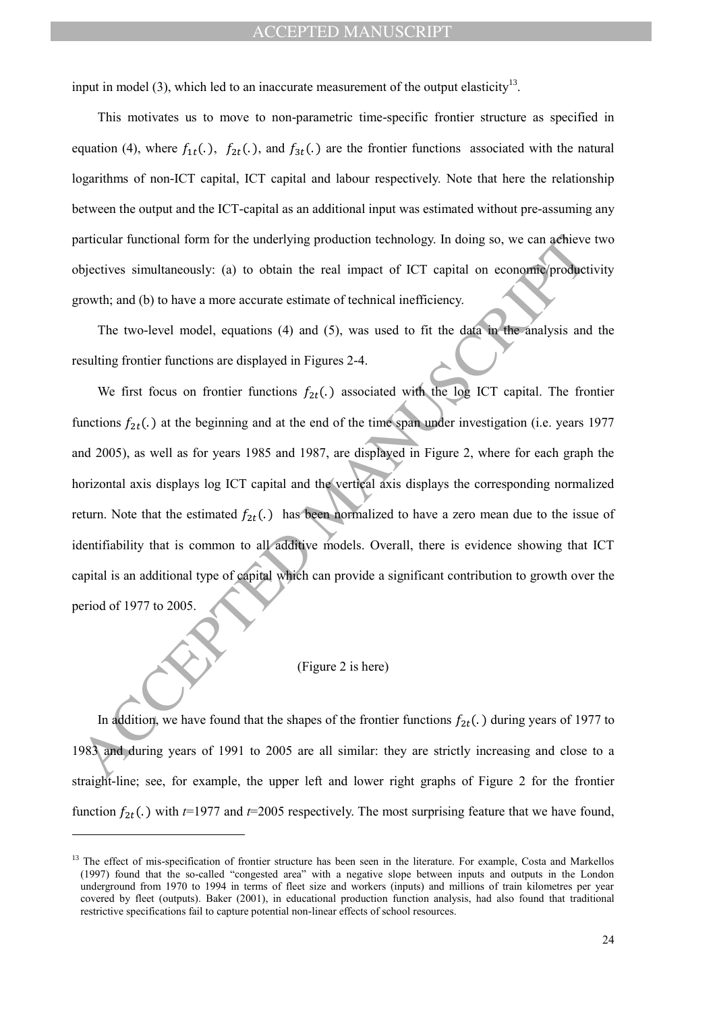input in model (3), which led to an inaccurate measurement of the output elasticity<sup>13</sup>.

This motivates us to move to non-parametric time-specific frontier structure as specified in equation (4), where  $f_{1t}(.)$ ,  $f_{2t}(.)$ , and  $f_{3t}(.)$  are the frontier functions associated with the natural logarithms of non-ICT capital, ICT capital and labour respectively. Note that here the relationship between the output and the ICT-capital as an additional input was estimated without pre-assuming any particular functional form for the underlying production technology. In doing so, we can achieve two objectives simultaneously: (a) to obtain the real impact of ICT capital on economic/productivity growth; and (b) to have a more accurate estimate of technical inefficiency.

The two-level model, equations (4) and (5), was used to fit the data in the analysis and the resulting frontier functions are displayed in Figures 2-4.

articular functional form for the underlying production technology. In doing so, we can achieve<br>bijectives simultaneously: (a) to obtain the real impact of ICT capital on economic product<br>growth, and (b) to have a more ac We first focus on frontier functions  $f_{2t}$ . associated with the log ICT capital. The frontier functions  $f_{2t}$ (.) at the beginning and at the end of the time span under investigation (i.e. years 1977 and 2005), as well as for years 1985 and 1987, are displayed in Figure 2, where for each graph the horizontal axis displays log ICT capital and the vertical axis displays the corresponding normalized return. Note that the estimated  $f_{2t}$ . has been normalized to have a zero mean due to the issue of identifiability that is common to all additive models. Overall, there is evidence showing that ICT capital is an additional type of capital which can provide a significant contribution to growth over the period of 1977 to 2005.

#### (Figure 2 is here)

In addition, we have found that the shapes of the frontier functions  $f_{2t}$ . ) during years of 1977 to 1983 and during years of 1991 to 2005 are all similar: they are strictly increasing and close to a straight-line; see, for example, the upper left and lower right graphs of Figure 2 for the frontier function  $f_{2t}$ .) with  $t=1977$  and  $t=2005$  respectively. The most surprising feature that we have found,

 $\overline{a}$ 

<sup>&</sup>lt;sup>13</sup> The effect of mis-specification of frontier structure has been seen in the literature. For example, Costa and Markellos (1997) found that the so-called "congested area" with a negative slope between inputs and outputs in the London underground from 1970 to 1994 in terms of fleet size and workers (inputs) and millions of train kilometres per year covered by fleet (outputs). Baker (2001), in educational production function analysis, had also found that traditional restrictive specifications fail to capture potential non-linear effects of school resources.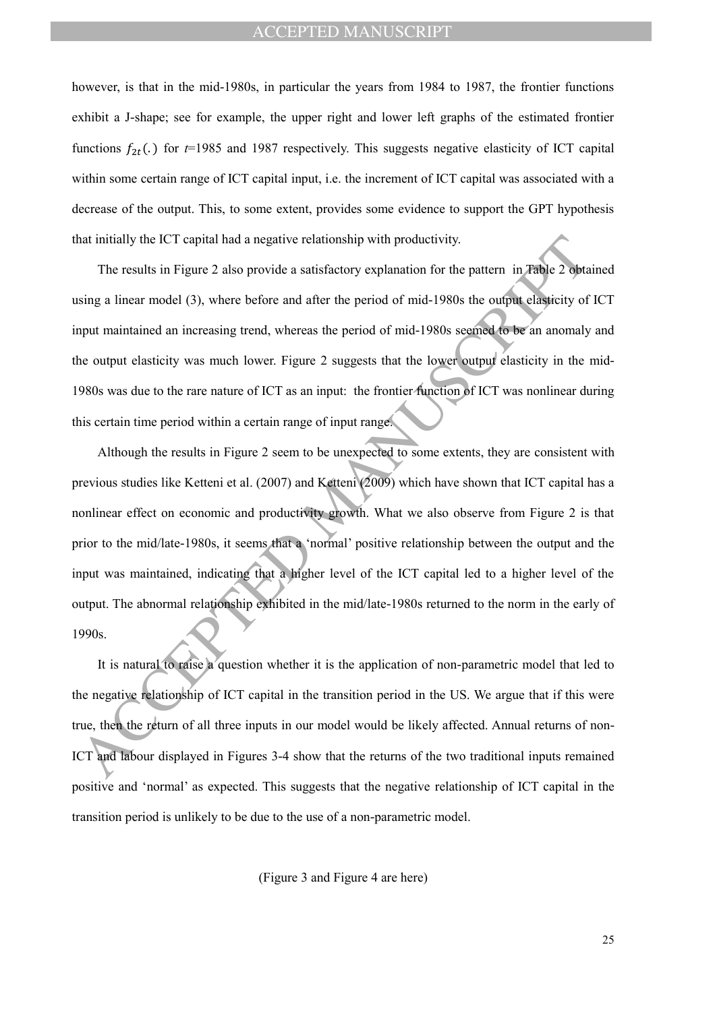however, is that in the mid-1980s, in particular the years from 1984 to 1987, the frontier functions exhibit a J-shape; see for example, the upper right and lower left graphs of the estimated frontier functions  $f_{2t}$ .) for  $t=1985$  and 1987 respectively. This suggests negative elasticity of ICT capital within some certain range of ICT capital input, i.e. the increment of ICT capital was associated with a decrease of the output. This, to some extent, provides some evidence to support the GPT hypothesis that initially the ICT capital had a negative relationship with productivity.

The results in Figure 2 also provide a satisfactory explanation for the pattern in Table 2 obtained using a linear model (3), where before and after the period of mid-1980s the output elasticity of ICT input maintained an increasing trend, whereas the period of mid-1980s seemed to be an anomaly and the output elasticity was much lower. Figure 2 suggests that the lower output elasticity in the mid-1980s was due to the rare nature of ICT as an input: the frontier function of ICT was nonlinear during this certain time period within a certain range of input range.

hat initially the ICT capital had a negative relationship with productivity.<br>The results in Figure 2 also provide a satisfactory explanation for the pattern in Fable 2 obta<br>sing a linear model (3), where before and after t Although the results in Figure 2 seem to be unexpected to some extents, they are consistent with previous studies like Ketteni et al. (2007) and Ketteni (2009) which have shown that ICT capital has a nonlinear effect on economic and productivity growth. What we also observe from Figure 2 is that prior to the mid/late-1980s, it seems that a 'normal' positive relationship between the output and the input was maintained, indicating that a higher level of the ICT capital led to a higher level of the output. The abnormal relationship exhibited in the mid/late-1980s returned to the norm in the early of 1990s.

It is natural to raise a question whether it is the application of non-parametric model that led to the negative relationship of ICT capital in the transition period in the US. We argue that if this were true, then the return of all three inputs in our model would be likely affected. Annual returns of non-ICT and labour displayed in Figures 3-4 show that the returns of the two traditional inputs remained positive and 'normal' as expected. This suggests that the negative relationship of ICT capital in the transition period is unlikely to be due to the use of a non-parametric model.

(Figure 3 and Figure 4 are here)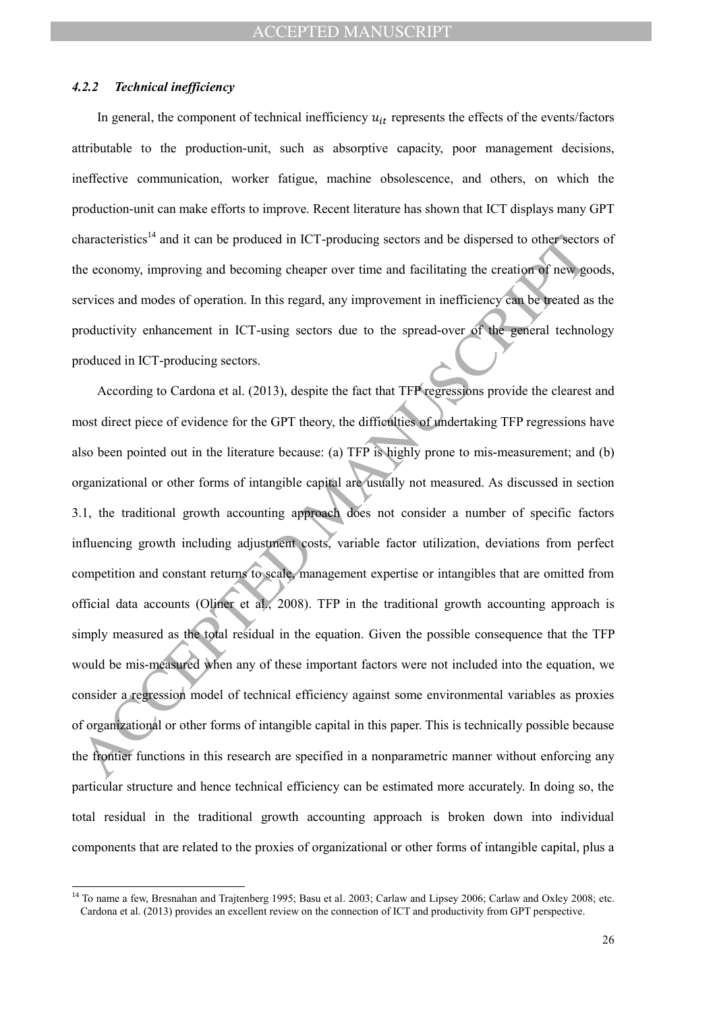#### *4.2.2 Technical inefficiency*

 $\overline{a}$ 

In general, the component of technical inefficiency  $u_{it}$  represents the effects of the events/factors attributable to the production-unit, such as absorptive capacity, poor management decisions, ineffective communication, worker fatigue, machine obsolescence, and others, on which the production-unit can make efforts to improve. Recent literature has shown that ICT displays many GPT characteristics<sup>14</sup> and it can be produced in ICT-producing sectors and be dispersed to other sectors of the economy, improving and becoming cheaper over time and facilitating the creation of new goods, services and modes of operation. In this regard, any improvement in inefficiency can be treated as the productivity enhancement in ICT-using sectors due to the spread-over of the general technology produced in ICT-producing sectors.

than<br>acteristies<sup>14</sup> and it can be produced in ICT-producing sectors and be dispersed to other sector<br>are eeconomy, improving and hecoming cheaper over time and facilitating the creation of new,<br>gervices and modes of opera According to Cardona et al. (2013), despite the fact that TFP regressions provide the clearest and most direct piece of evidence for the GPT theory, the difficulties of undertaking TFP regressions have also been pointed out in the literature because: (a) TFP is highly prone to mis-measurement; and (b) organizational or other forms of intangible capital are usually not measured. As discussed in section 3.1, the traditional growth accounting approach does not consider a number of specific factors influencing growth including adjustment costs, variable factor utilization, deviations from perfect competition and constant returns to scale, management expertise or intangibles that are omitted from official data accounts (Oliner et al., 2008). TFP in the traditional growth accounting approach is simply measured as the total residual in the equation. Given the possible consequence that the TFP would be mis-measured when any of these important factors were not included into the equation, we consider a regression model of technical efficiency against some environmental variables as proxies of organizational or other forms of intangible capital in this paper. This is technically possible because the frontier functions in this research are specified in a nonparametric manner without enforcing any particular structure and hence technical efficiency can be estimated more accurately. In doing so, the total residual in the traditional growth accounting approach is broken down into individual components that are related to the proxies of organizational or other forms of intangible capital, plus a

<sup>&</sup>lt;sup>14</sup> To name a few, Bresnahan and Trajtenberg 1995; Basu et al. 2003; Carlaw and Lipsey 2006; Carlaw and Oxley 2008; etc. Cardona et al. (2013) provides an excellent review on the connection of ICT and productivity from GPT perspective.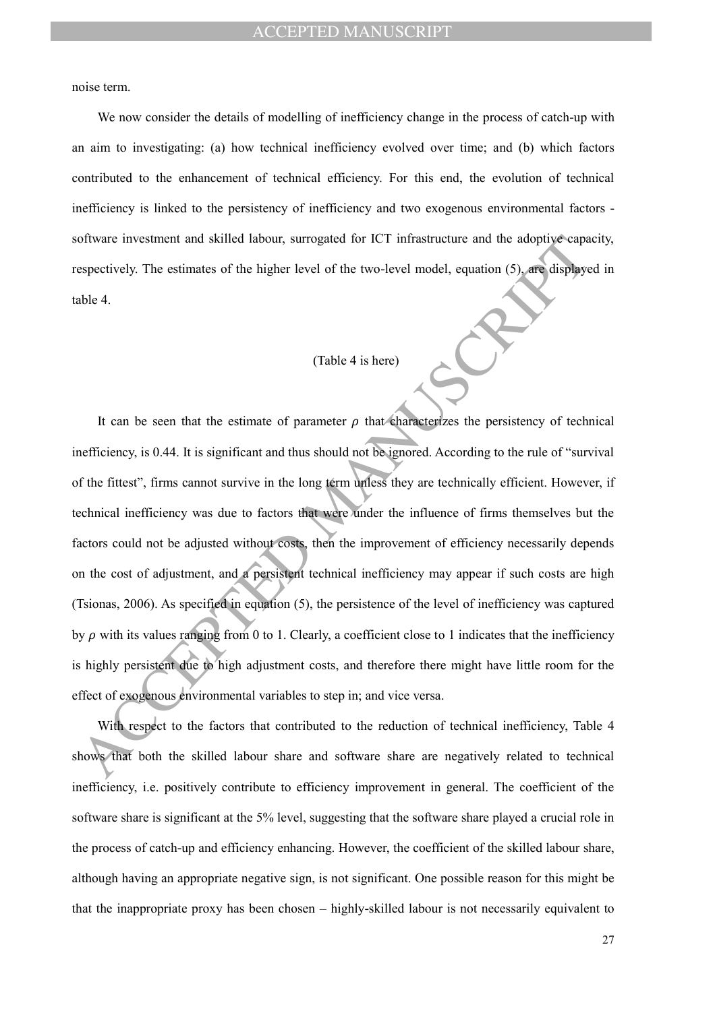noise term.

We now consider the details of modelling of inefficiency change in the process of catch-up with an aim to investigating: (a) how technical inefficiency evolved over time; and (b) which factors contributed to the enhancement of technical efficiency. For this end, the evolution of technical inefficiency is linked to the persistency of inefficiency and two exogenous environmental factors software investment and skilled labour, surrogated for ICT infrastructure and the adoptive capacity, respectively. The estimates of the higher level of the two-level model, equation (5), are displayed in table 4.

# (Table 4 is here)

of the intersteement and skilled labour, surrogated for ICT infrastructure and the adoptive capacapactively. The estimates of the higher level of the two-level model, equation (5), are displayed able 4.<br>
(Table 4 is here) It can be seen that the estimate of parameter  $\rho$  that characterizes the persistency of technical inefficiency, is 0.44. It is significant and thus should not be ignored. According to the rule of "survival of the fittest", firms cannot survive in the long term unless they are technically efficient. However, if technical inefficiency was due to factors that were under the influence of firms themselves but the factors could not be adjusted without costs, then the improvement of efficiency necessarily depends on the cost of adjustment, and a persistent technical inefficiency may appear if such costs are high (Tsionas, 2006). As specified in equation (5), the persistence of the level of inefficiency was captured by  $\rho$  with its values ranging from 0 to 1. Clearly, a coefficient close to 1 indicates that the inefficiency is highly persistent due to high adjustment costs, and therefore there might have little room for the effect of exogenous environmental variables to step in; and vice versa.

With respect to the factors that contributed to the reduction of technical inefficiency, Table 4 shows that both the skilled labour share and software share are negatively related to technical inefficiency, i.e. positively contribute to efficiency improvement in general. The coefficient of the software share is significant at the 5% level, suggesting that the software share played a crucial role in the process of catch-up and efficiency enhancing. However, the coefficient of the skilled labour share, although having an appropriate negative sign, is not significant. One possible reason for this might be that the inappropriate proxy has been chosen – highly-skilled labour is not necessarily equivalent to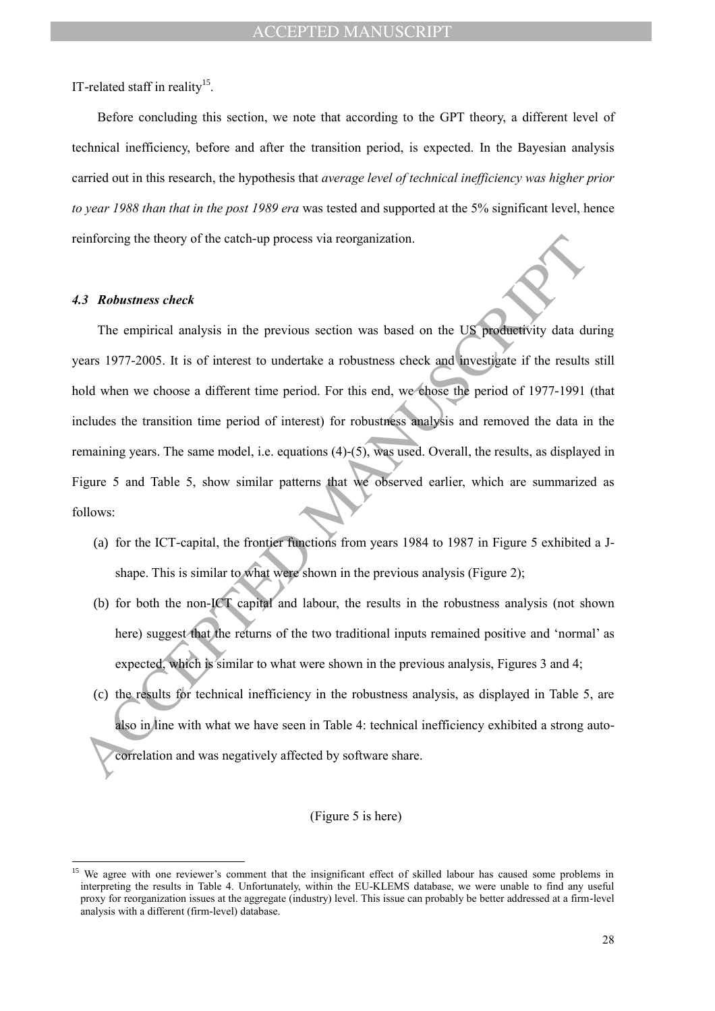IT-related staff in reality<sup>15</sup>.

Before concluding this section, we note that according to the GPT theory, a different level of technical inefficiency, before and after the transition period, is expected. In the Bayesian analysis carried out in this research, the hypothesis that *average level of technical inefficiency was higher prior to year 1988 than that in the post 1989 era* was tested and supported at the 5% significant level, hence reinforcing the theory of the catch-up process via reorganization.

#### *4.3 Robustness check*

 $\overline{a}$ 

einforcing the theory of the catch-up process via reorganization.<br>
A.3 **Robustness check**<br>
The empirical analysis in the previous section was based on the US productivity data due are 1977-2005. It is of interest to under The empirical analysis in the previous section was based on the US productivity data during years 1977-2005. It is of interest to undertake a robustness check and investigate if the results still hold when we choose a different time period. For this end, we chose the period of 1977-1991 (that includes the transition time period of interest) for robustness analysis and removed the data in the remaining years. The same model, i.e. equations (4)-(5), was used. Overall, the results, as displayed in Figure 5 and Table 5, show similar patterns that we observed earlier, which are summarized as follows:

- (a) for the ICT-capital, the frontier functions from years 1984 to 1987 in Figure 5 exhibited a Jshape. This is similar to what were shown in the previous analysis (Figure 2):
- (b) for both the non-ICT capital and labour, the results in the robustness analysis (not shown here) suggest that the returns of the two traditional inputs remained positive and 'normal' as expected, which is similar to what were shown in the previous analysis, Figures 3 and 4;
- (c) the results for technical inefficiency in the robustness analysis, as displayed in Table 5, are also in line with what we have seen in Table 4: technical inefficiency exhibited a strong autocorrelation and was negatively affected by software share.

#### (Figure 5 is here)

<sup>&</sup>lt;sup>15</sup> We agree with one reviewer's comment that the insignificant effect of skilled labour has caused some problems in interpreting the results in Table 4. Unfortunately, within the EU-KLEMS database, we were unable to find any useful proxy for reorganization issues at the aggregate (industry) level. This issue can probably be better addressed at a firm-level analysis with a different (firm-level) database.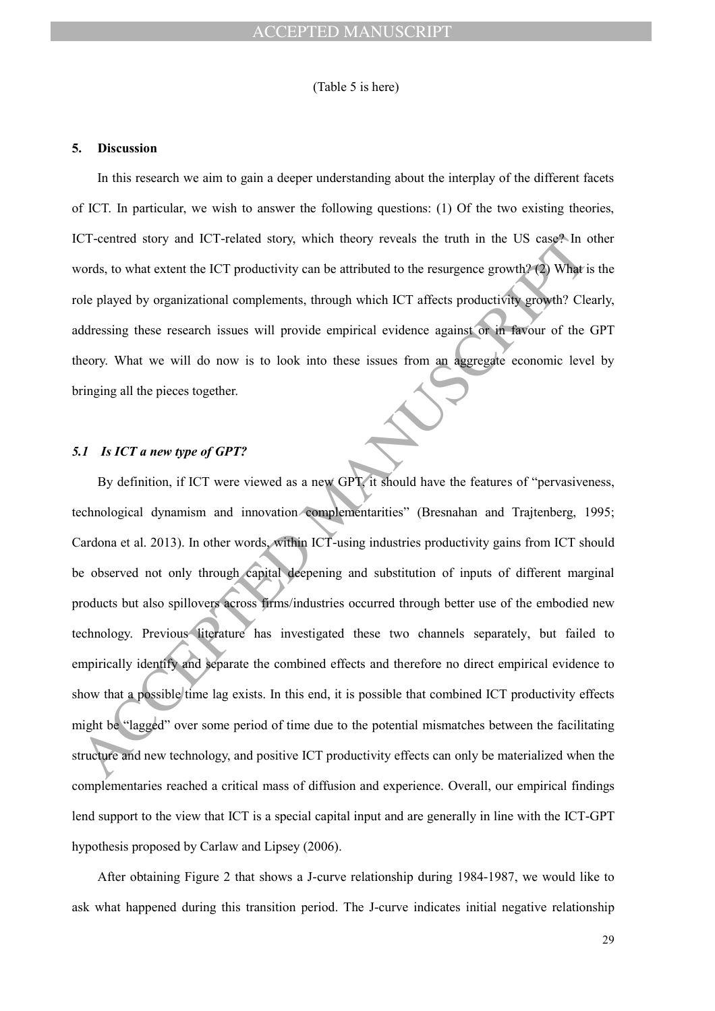(Table 5 is here)

#### **5. Discussion**

In this research we aim to gain a deeper understanding about the interplay of the different facets of ICT. In particular, we wish to answer the following questions: (1) Of the two existing theories, ICT-centred story and ICT-related story, which theory reveals the truth in the US case? In other words, to what extent the ICT productivity can be attributed to the resurgence growth? (2) What is the role played by organizational complements, through which ICT affects productivity growth? Clearly, addressing these research issues will provide empirical evidence against or in favour of the GPT theory. What we will do now is to look into these issues from an aggregate economic level by bringing all the pieces together.

# *5.1 Is ICT a new type of GPT?*

CT-centred story and ICT-related story, which theory reveals the truth in the US case<sup>s</sup>-In cords, to what extent the ICT productivity can be attributed to the resurgence growth? (2) Whight of the correlation of the corre By definition, if ICT were viewed as a new GPT, it should have the features of "pervasiveness, technological dynamism and innovation complementarities" (Bresnahan and Trajtenberg, 1995; Cardona et al. 2013). In other words, within ICT-using industries productivity gains from ICT should be observed not only through capital deepening and substitution of inputs of different marginal products but also spillovers across firms/industries occurred through better use of the embodied new technology. Previous literature has investigated these two channels separately, but failed to empirically identify and separate the combined effects and therefore no direct empirical evidence to show that a possible time lag exists. In this end, it is possible that combined ICT productivity effects might be "lagged" over some period of time due to the potential mismatches between the facilitating structure and new technology, and positive ICT productivity effects can only be materialized when the complementaries reached a critical mass of diffusion and experience. Overall, our empirical findings lend support to the view that ICT is a special capital input and are generally in line with the ICT-GPT hypothesis proposed by Carlaw and Lipsey (2006).

After obtaining Figure 2 that shows a J-curve relationship during 1984-1987, we would like to ask what happened during this transition period. The J-curve indicates initial negative relationship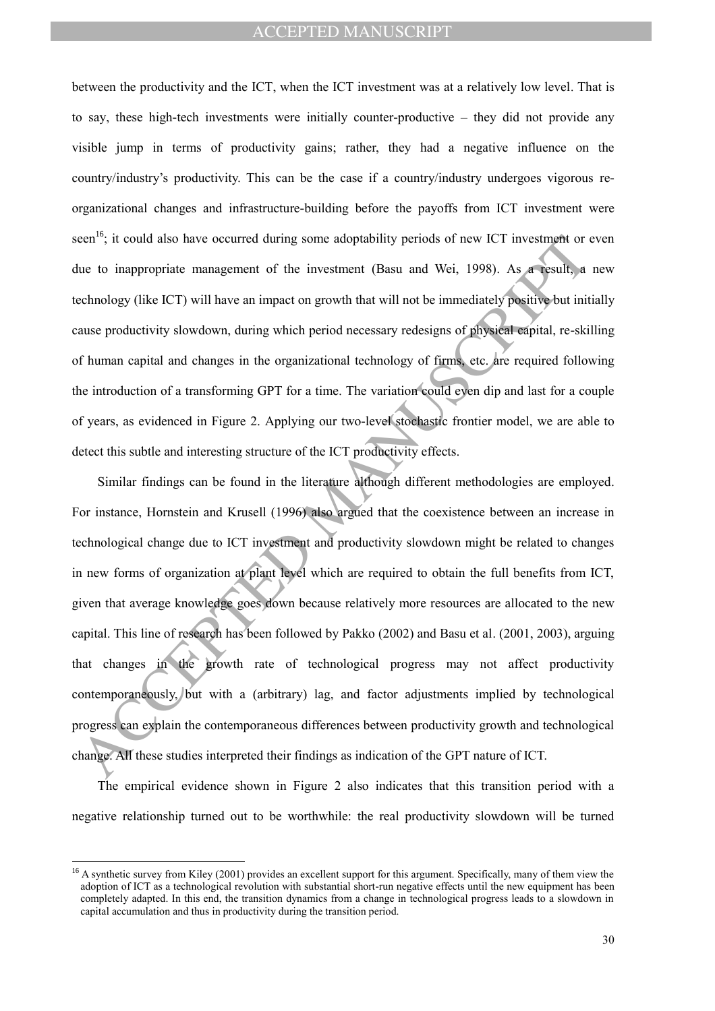between the productivity and the ICT, when the ICT investment was at a relatively low level. That is to say, these high-tech investments were initially counter-productive – they did not provide any visible jump in terms of productivity gains; rather, they had a negative influence on the country/industry's productivity. This can be the case if a country/industry undergoes vigorous reorganizational changes and infrastructure-building before the payoffs from ICT investment were seen<sup>16</sup>; it could also have occurred during some adoptability periods of new ICT investment or even due to inappropriate management of the investment (Basu and Wei, 1998). As a result, a new technology (like ICT) will have an impact on growth that will not be immediately positive but initially cause productivity slowdown, during which period necessary redesigns of physical capital, re-skilling of human capital and changes in the organizational technology of firms, etc. are required following the introduction of a transforming GPT for a time. The variation could even dip and last for a couple of years, as evidenced in Figure 2. Applying our two-level stochastic frontier model, we are able to detect this subtle and interesting structure of the ICT productivity effects.

een<sup>19</sup>; it could also have occurred during some adoptability periods of new ICT investment or tue to inappropriate management of the investment (Basu and Wei, 1998). As a result, at the technology (like ICT) will have an Similar findings can be found in the literature although different methodologies are employed. For instance, Hornstein and Krusell (1996) also argued that the coexistence between an increase in technological change due to ICT investment and productivity slowdown might be related to changes in new forms of organization at plant level which are required to obtain the full benefits from ICT, given that average knowledge goes down because relatively more resources are allocated to the new capital. This line of research has been followed by Pakko (2002) and Basu et al. (2001, 2003), arguing that changes in the growth rate of technological progress may not affect productivity contemporaneously, but with a (arbitrary) lag, and factor adjustments implied by technological progress can explain the contemporaneous differences between productivity growth and technological change. All these studies interpreted their findings as indication of the GPT nature of ICT.

The empirical evidence shown in Figure 2 also indicates that this transition period with a negative relationship turned out to be worthwhile: the real productivity slowdown will be turned

 $\overline{a}$ 

 $16$  A synthetic survey from Kiley (2001) provides an excellent support for this argument. Specifically, many of them view the adoption of ICT as a technological revolution with substantial short-run negative effects until the new equipment has been completely adapted. In this end, the transition dynamics from a change in technological progress leads to a slowdown in capital accumulation and thus in productivity during the transition period.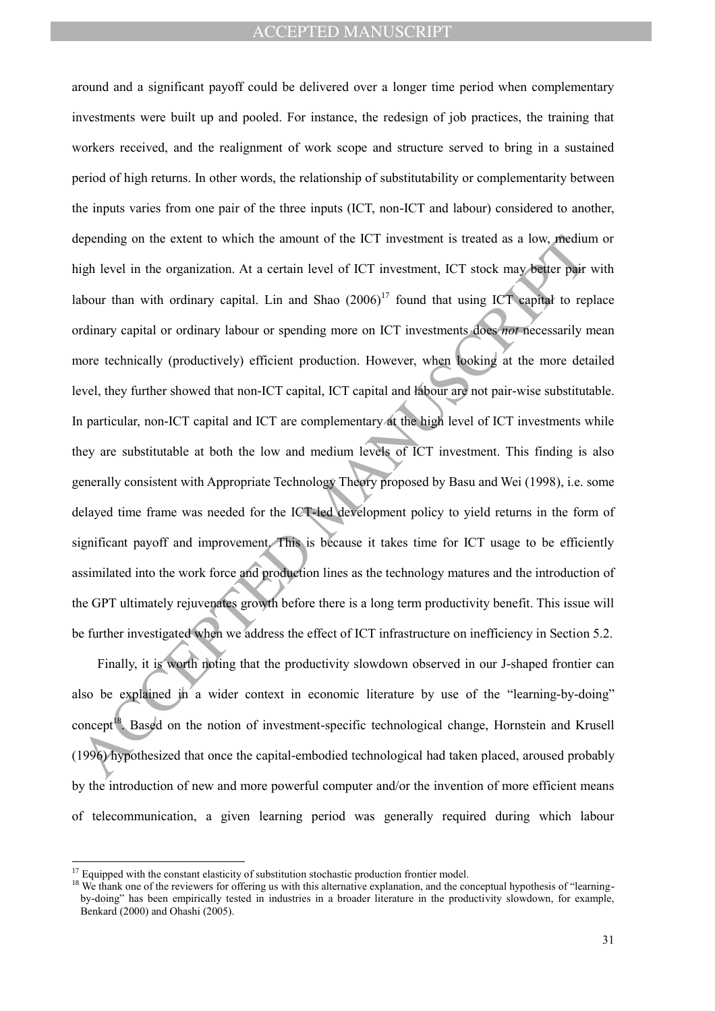epending on the extent to which the amount of the ICT investment is treated as a low, mediutigh level in the organization. At a certain level of ICT investment, ICT stock may be eigen pair about than with ordinary capital. around and a significant payoff could be delivered over a longer time period when complementary investments were built up and pooled. For instance, the redesign of job practices, the training that workers received, and the realignment of work scope and structure served to bring in a sustained period of high returns. In other words, the relationship of substitutability or complementarity between the inputs varies from one pair of the three inputs (ICT, non-ICT and labour) considered to another, depending on the extent to which the amount of the ICT investment is treated as a low, medium or high level in the organization. At a certain level of ICT investment, ICT stock may better pair with labour than with ordinary capital. Lin and Shao  $(2006)^{17}$  found that using ICT capital to replace ordinary capital or ordinary labour or spending more on ICT investments does *not* necessarily mean more technically (productively) efficient production. However, when looking at the more detailed level, they further showed that non-ICT capital, ICT capital and labour are not pair-wise substitutable. In particular, non-ICT capital and ICT are complementary at the high level of ICT investments while they are substitutable at both the low and medium levels of ICT investment. This finding is also generally consistent with Appropriate Technology Theory proposed by Basu and Wei (1998), i.e. some delayed time frame was needed for the ICT-led development policy to yield returns in the form of significant payoff and improvement. This is because it takes time for ICT usage to be efficiently assimilated into the work force and production lines as the technology matures and the introduction of the GPT ultimately rejuvenates growth before there is a long term productivity benefit. This issue will be further investigated when we address the effect of ICT infrastructure on inefficiency in Section 5.2.

Finally, it is worth noting that the productivity slowdown observed in our J-shaped frontier can also be explained in a wider context in economic literature by use of the "learning-by-doing" concept<sup>18</sup>. Based on the notion of investment-specific technological change, Hornstein and Krusell (1996) hypothesized that once the capital-embodied technological had taken placed, aroused probably by the introduction of new and more powerful computer and/or the invention of more efficient means of telecommunication, a given learning period was generally required during which labour

 $\overline{a}$ 

<sup>&</sup>lt;sup>17</sup> Equipped with the constant elasticity of substitution stochastic production frontier model.

<sup>&</sup>lt;sup>18</sup> We thank one of the reviewers for offering us with this alternative explanation, and the conceptual hypothesis of "learningby-doing" has been empirically tested in industries in a broader literature in the productivity slowdown, for example, Benkard (2000) and Ohashi (2005).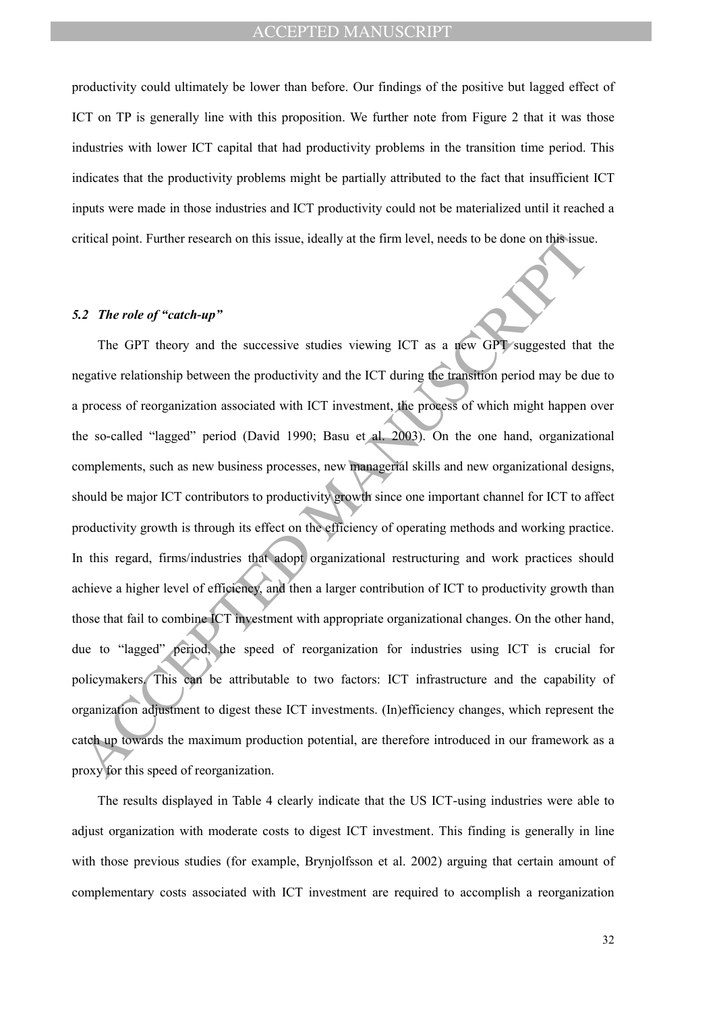productivity could ultimately be lower than before. Our findings of the positive but lagged effect of ICT on TP is generally line with this proposition. We further note from Figure 2 that it was those industries with lower ICT capital that had productivity problems in the transition time period. This indicates that the productivity problems might be partially attributed to the fact that insufficient ICT inputs were made in those industries and ICT productivity could not be materialized until it reached a critical point. Further research on this issue, ideally at the firm level, needs to be done on this issue.

### *5.2 The role of "catch-up"*

ritical point. Further research on this issue, ideally at the firm level, needs to be done on this issue.<br>
AZ The role of "catch-up"<br>
The GPT theory and the successive studies viewing ICT as a new GPT suggested that<br>
rega The GPT theory and the successive studies viewing ICT as a new GPT suggested that the negative relationship between the productivity and the ICT during the transition period may be due to a process of reorganization associated with ICT investment, the process of which might happen over the so-called "lagged" period (David 1990; Basu et al. 2003). On the one hand, organizational complements, such as new business processes, new managerial skills and new organizational designs, should be major ICT contributors to productivity growth since one important channel for ICT to affect productivity growth is through its effect on the efficiency of operating methods and working practice. In this regard, firms/industries that adopt organizational restructuring and work practices should achieve a higher level of efficiency, and then a larger contribution of ICT to productivity growth than those that fail to combine ICT investment with appropriate organizational changes. On the other hand, due to "lagged" period, the speed of reorganization for industries using ICT is crucial for policymakers. This can be attributable to two factors: ICT infrastructure and the capability of organization adjustment to digest these ICT investments. (In)efficiency changes, which represent the catch up towards the maximum production potential, are therefore introduced in our framework as a proxy for this speed of reorganization.

The results displayed in Table 4 clearly indicate that the US ICT-using industries were able to adjust organization with moderate costs to digest ICT investment. This finding is generally in line with those previous studies (for example, Brynjolfsson et al. 2002) arguing that certain amount of complementary costs associated with ICT investment are required to accomplish a reorganization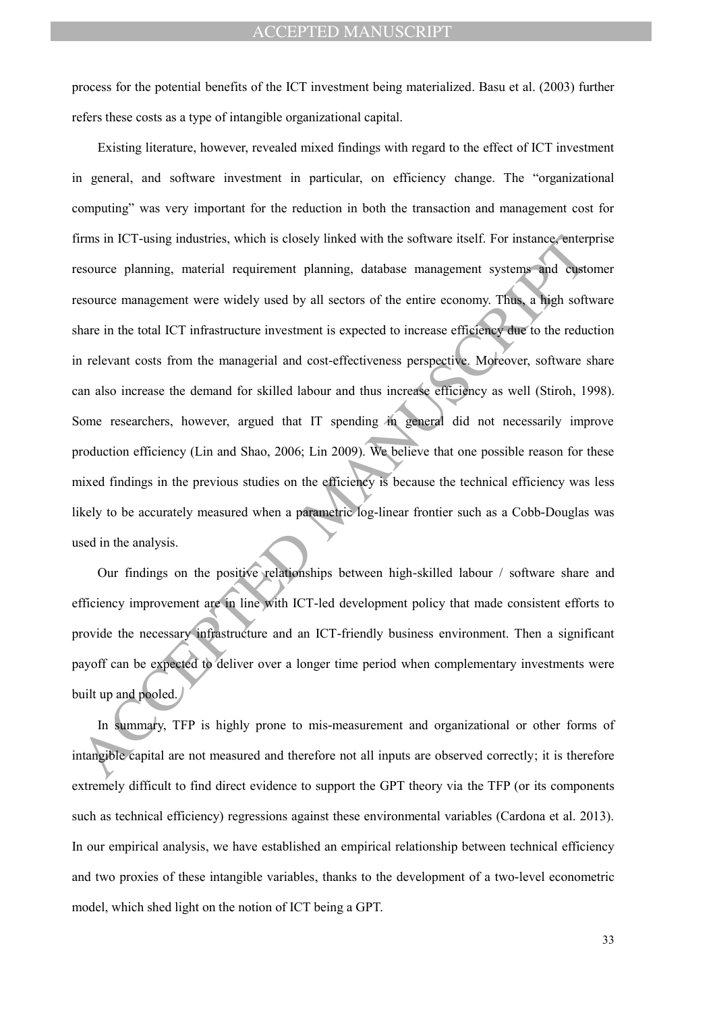process for the potential benefits of the ICT investment being materialized. Basu et al. (2003) further refers these costs as a type of intangible organizational capital.

frms in ICT-using industries, which is closely linked with the software itself. For instance-enterpresent experience planning, material requirement planning, database management systems and equivalence experience planning, Existing literature, however, revealed mixed findings with regard to the effect of ICT investment in general, and software investment in particular, on efficiency change. The "organizational computing" was very important for the reduction in both the transaction and management cost for firms in ICT-using industries, which is closely linked with the software itself. For instance, enterprise resource planning, material requirement planning, database management systems and customer resource management were widely used by all sectors of the entire economy. Thus, a high software share in the total ICT infrastructure investment is expected to increase efficiency due to the reduction in relevant costs from the managerial and cost-effectiveness perspective. Moreover, software share can also increase the demand for skilled labour and thus increase efficiency as well (Stiroh, 1998). Some researchers, however, argued that IT spending in general did not necessarily improve production efficiency (Lin and Shao, 2006; Lin 2009). We believe that one possible reason for these mixed findings in the previous studies on the efficiency is because the technical efficiency was less likely to be accurately measured when a parametric log-linear frontier such as a Cobb-Douglas was used in the analysis.

Our findings on the positive relationships between high-skilled labour / software share and efficiency improvement are in line with ICT-led development policy that made consistent efforts to provide the necessary infrastructure and an ICT-friendly business environment. Then a significant payoff can be expected to deliver over a longer time period when complementary investments were built up and pooled.

In summary, TFP is highly prone to mis-measurement and organizational or other forms of intangible capital are not measured and therefore not all inputs are observed correctly; it is therefore extremely difficult to find direct evidence to support the GPT theory via the TFP (or its components such as technical efficiency) regressions against these environmental variables (Cardona et al. 2013). In our empirical analysis, we have established an empirical relationship between technical efficiency and two proxies of these intangible variables, thanks to the development of a two-level econometric model, which shed light on the notion of ICT being a GPT.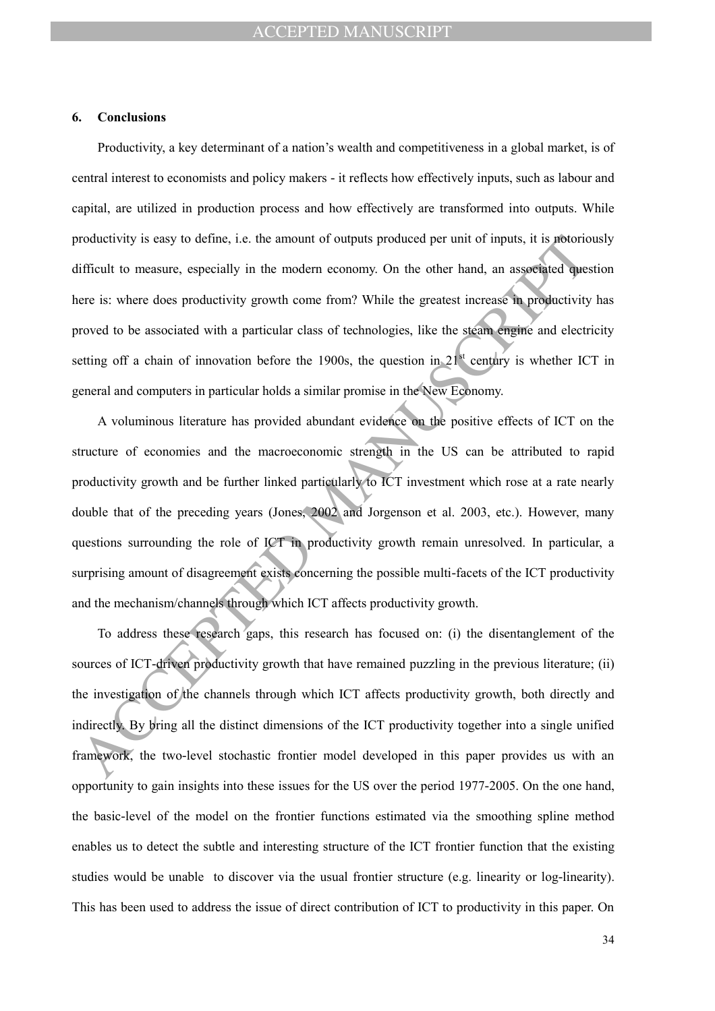#### **6. Conclusions**

Productivity, a key determinant of a nation's wealth and competitiveness in a global market, is of central interest to economists and policy makers - it reflects how effectively inputs, such as labour and capital, are utilized in production process and how effectively are transformed into outputs. While productivity is easy to define, i.e. the amount of outputs produced per unit of inputs, it is notoriously difficult to measure, especially in the modern economy. On the other hand, an associated question here is: where does productivity growth come from? While the greatest increase in productivity has proved to be associated with a particular class of technologies, like the steam engine and electricity setting off a chain of innovation before the 1900s, the question in  $21<sup>st</sup>$  century is whether ICT in general and computers in particular holds a similar promise in the New Economy.

roductivity is easy to define, i.e. the amount of outputs produced per unit of inputs, it is protorion<br>tificult to measure, especially in the modern economy. On the other hand, an associated que-<br>ere is: where does product A voluminous literature has provided abundant evidence on the positive effects of ICT on the structure of economies and the macroeconomic strength in the US can be attributed to rapid productivity growth and be further linked particularly to ICT investment which rose at a rate nearly double that of the preceding years (Jones, 2002 and Jorgenson et al. 2003, etc.). However, many questions surrounding the role of ICT in productivity growth remain unresolved. In particular, a surprising amount of disagreement exists concerning the possible multi-facets of the ICT productivity and the mechanism/channels through which ICT affects productivity growth.

To address these research gaps, this research has focused on: (i) the disentanglement of the sources of ICT-driven productivity growth that have remained puzzling in the previous literature; (ii) the investigation of the channels through which ICT affects productivity growth, both directly and indirectly. By bring all the distinct dimensions of the ICT productivity together into a single unified framework, the two-level stochastic frontier model developed in this paper provides us with an opportunity to gain insights into these issues for the US over the period 1977-2005. On the one hand, the basic-level of the model on the frontier functions estimated via the smoothing spline method enables us to detect the subtle and interesting structure of the ICT frontier function that the existing studies would be unable to discover via the usual frontier structure (e.g. linearity or log-linearity). This has been used to address the issue of direct contribution of ICT to productivity in this paper. On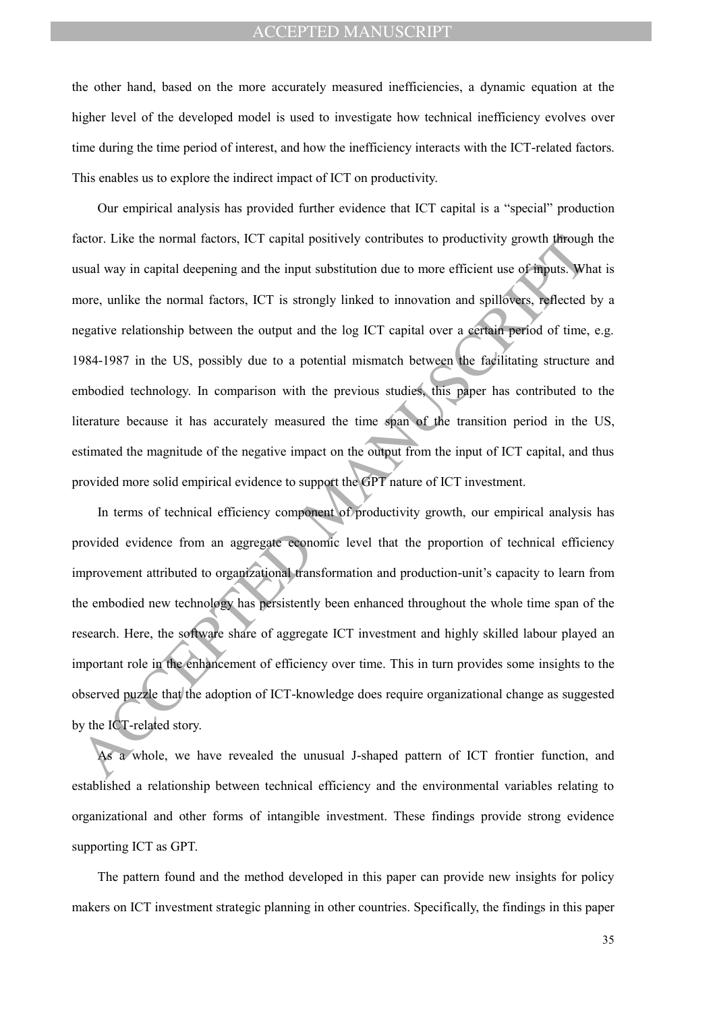the other hand, based on the more accurately measured inefficiencies, a dynamic equation at the higher level of the developed model is used to investigate how technical inefficiency evolves over time during the time period of interest, and how the inefficiency interacts with the ICT-related factors. This enables us to explore the indirect impact of ICT on productivity.

actor. Like the normal factors, ICT capital positively contributes to productivity growth phroughout<br>sual way in capital decpening and the input substitution due to more efficient use of mousts. Whence, unlike the normal f Our empirical analysis has provided further evidence that ICT capital is a "special" production factor. Like the normal factors, ICT capital positively contributes to productivity growth through the usual way in capital deepening and the input substitution due to more efficient use of inputs. What is more, unlike the normal factors, ICT is strongly linked to innovation and spillovers, reflected by a negative relationship between the output and the log ICT capital over a certain period of time, e.g. 1984-1987 in the US, possibly due to a potential mismatch between the facilitating structure and embodied technology. In comparison with the previous studies, this paper has contributed to the literature because it has accurately measured the time span of the transition period in the US, estimated the magnitude of the negative impact on the output from the input of ICT capital, and thus provided more solid empirical evidence to support the GPT nature of ICT investment.

In terms of technical efficiency component of productivity growth, our empirical analysis has provided evidence from an aggregate economic level that the proportion of technical efficiency improvement attributed to organizational transformation and production-unit's capacity to learn from the embodied new technology has persistently been enhanced throughout the whole time span of the research. Here, the software share of aggregate ICT investment and highly skilled labour played an important role in the enhancement of efficiency over time. This in turn provides some insights to the observed puzzle that the adoption of ICT-knowledge does require organizational change as suggested by the ICT-related story.

As a whole, we have revealed the unusual J-shaped pattern of ICT frontier function, and established a relationship between technical efficiency and the environmental variables relating to organizational and other forms of intangible investment. These findings provide strong evidence supporting ICT as GPT.

The pattern found and the method developed in this paper can provide new insights for policy makers on ICT investment strategic planning in other countries. Specifically, the findings in this paper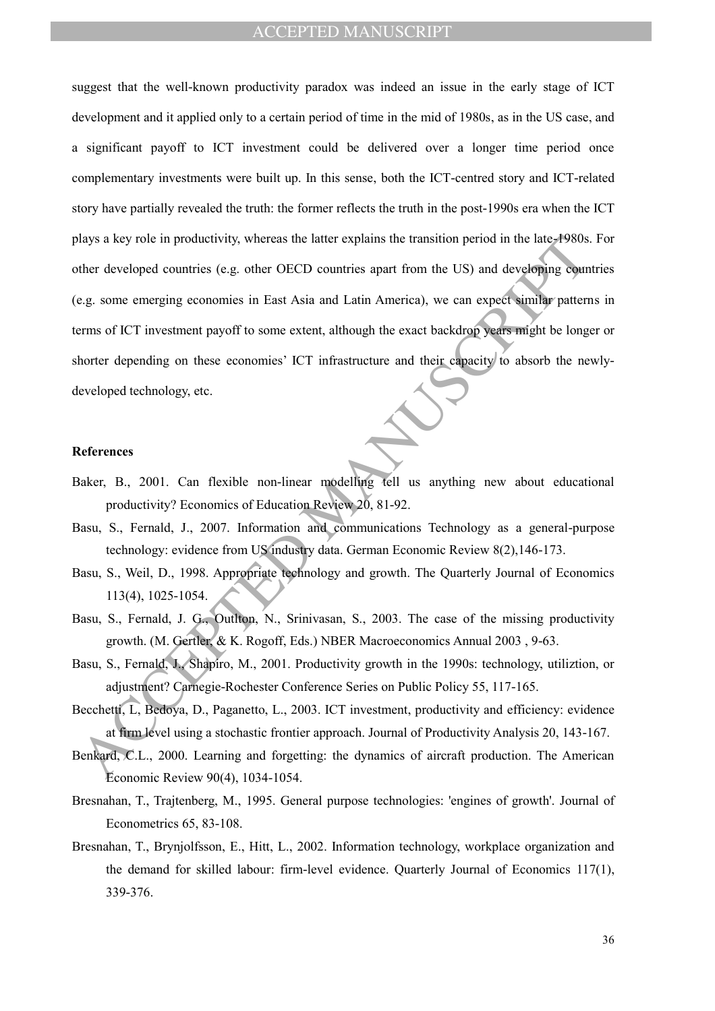alays a key role in productivity, whereas the latter explains the transition period in the late-4980s<br>ther developed countrics (e.g. other OECD countries apart from the US) and developing counter<br>e.g. some emerging economi suggest that the well-known productivity paradox was indeed an issue in the early stage of ICT development and it applied only to a certain period of time in the mid of 1980s, as in the US case, and a significant payoff to ICT investment could be delivered over a longer time period once complementary investments were built up. In this sense, both the ICT-centred story and ICT-related story have partially revealed the truth: the former reflects the truth in the post-1990s era when the ICT plays a key role in productivity, whereas the latter explains the transition period in the late-1980s. For other developed countries (e.g. other OECD countries apart from the US) and developing countries (e.g. some emerging economies in East Asia and Latin America), we can expect similar patterns in terms of ICT investment payoff to some extent, although the exact backdrop years might be longer or shorter depending on these economies' ICT infrastructure and their capacity to absorb the newlydeveloped technology, etc.

### **References**

- Baker, B., 2001. Can flexible non-linear modelling tell us anything new about educational productivity? Economics of Education Review 20, 81-92.
- Basu, S., Fernald, J., 2007. Information and communications Technology as a general-purpose technology: evidence from US industry data. German Economic Review 8(2),146-173.
- Basu, S., Weil, D., 1998. Appropriate technology and growth. The Quarterly Journal of Economics 113(4), 1025-1054.
- Basu, S., Fernald, J. G., Outlton, N., Srinivasan, S., 2003. The case of the missing productivity growth. (M. Gertler, & K. Rogoff, Eds.) NBER Macroeconomics Annual 2003 , 9-63.
- Basu, S., Fernald, J., Shapiro, M., 2001. Productivity growth in the 1990s: technology, utiliztion, or adjustment? Carnegie-Rochester Conference Series on Public Policy 55, 117-165.
- Becchetti, L, Bedoya, D., Paganetto, L., 2003. ICT investment, productivity and efficiency: evidence at firm level using a stochastic frontier approach. Journal of Productivity Analysis 20, 143-167.
- Benkard, C.L., 2000. Learning and forgetting: the dynamics of aircraft production. The American Economic Review 90(4), 1034-1054.
- Bresnahan, T., Trajtenberg, M., 1995. General purpose technologies: 'engines of growth'. Journal of Econometrics 65, 83-108.
- Bresnahan, T., Brynjolfsson, E., Hitt, L., 2002. Information technology, workplace organization and the demand for skilled labour: firm-level evidence. Quarterly Journal of Economics 117(1), 339-376.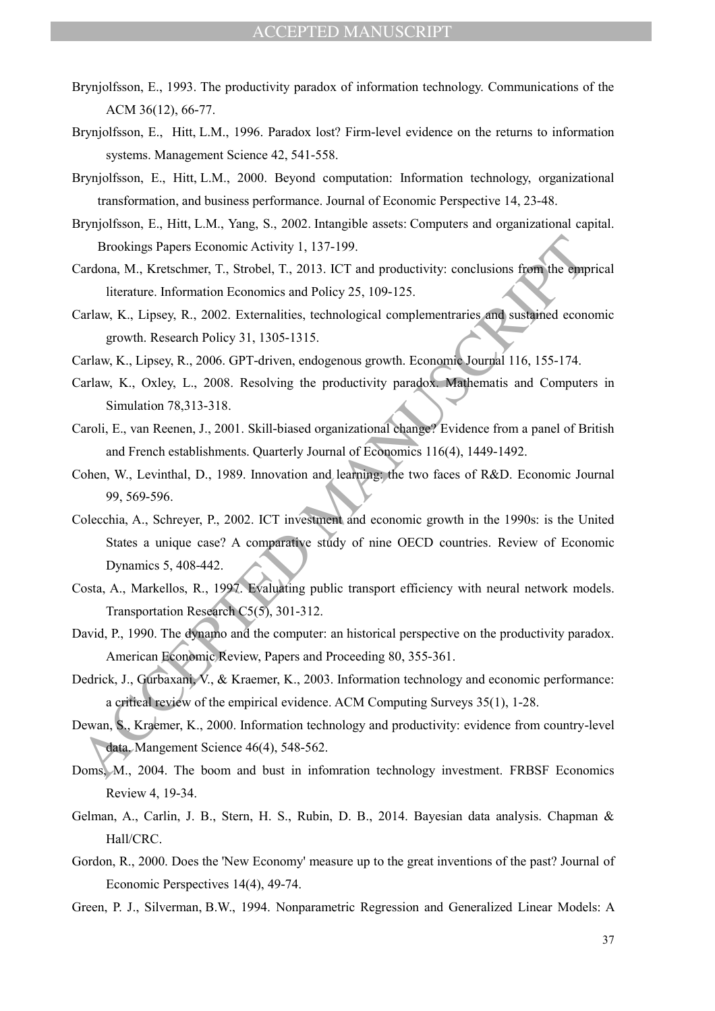- Brynjolfsson, E., 1993. The productivity paradox of information technology. Communications of the ACM 36(12), 66-77.
- Brynjolfsson, E., Hitt, L.M., 1996. Paradox lost? Firm-level evidence on the returns to information systems. Management Science 42, 541-558.
- Brynjolfsson, E., Hitt, L.M., 2000. Beyond computation: Information technology, organizational transformation, and business performance. Journal of Economic Perspective 14, 23-48.
- Brynjolfsson, E., Hitt, L.M., Yang, S., 2002. Intangible assets: Computers and organizational capital. Brookings Papers Economic Activity 1, 137-199.
- Cardona, M., Kretschmer, T., Strobel, T., 2013. ICT and productivity: conclusions from the emprical literature. Information Economics and Policy 25, 109-125.
- Carlaw, K., Lipsey, R., 2002. Externalities, technological complementraries and sustained economic growth. Research Policy 31, 1305-1315.
- Carlaw, K., Lipsey, R., 2006. GPT-driven, endogenous growth. Economic Journal 116, 155-174.
- Carlaw, K., Oxley, L., 2008. Resolving the productivity paradox. Mathematis and Computers in Simulation 78,313-318.
- Caroli, E., van Reenen, J., 2001. Skill-biased organizational change? Evidence from a panel of British and French establishments. Quarterly Journal of Economics 116(4), 1449-1492.
- Cohen, W., Levinthal, D., 1989. Innovation and learning: the two faces of R&D. Economic Journal 99, 569-596.
- Brookings Papers Economic Activity 1, 137-199.<br>
Tardona, M., Kretschmer, T., Strobel, T., 2013. ICT and productivity: conclusions from the emplementaries, and Poicy 25, 109-125.<br>
Interature. Information Economic Journalist Colecchia, A., Schreyer, P., 2002. ICT investment and economic growth in the 1990s: is the United States a unique case? A comparative study of nine OECD countries. Review of Economic Dynamics 5, 408-442.
- Costa, A., Markellos, R., 1997. Evaluating public transport efficiency with neural network models. Transportation Research C5(5), 301-312.
- David, P., 1990. The dynamo and the computer: an historical perspective on the productivity paradox. American Economic Review, Papers and Proceeding 80, 355-361.
- Dedrick, J., Gurbaxani, V., & Kraemer, K., 2003. Information technology and economic performance: a critical review of the empirical evidence. ACM Computing Surveys 35(1), 1-28.
- Dewan, S., Kraemer, K., 2000. Information technology and productivity: evidence from country-level data. Mangement Science 46(4), 548-562.
- Doms, M., 2004. The boom and bust in infomration technology investment. FRBSF Economics Review 4, 19-34.
- Gelman, A., Carlin, J. B., Stern, H. S., Rubin, D. B., 2014. Bayesian data analysis. Chapman & Hall/CRC.
- Gordon, R., 2000. Does the 'New Economy' measure up to the great inventions of the past? Journal of Economic Perspectives 14(4), 49-74.
- Green, P. J., Silverman, B.W., 1994. Nonparametric Regression and Generalized Linear Models: A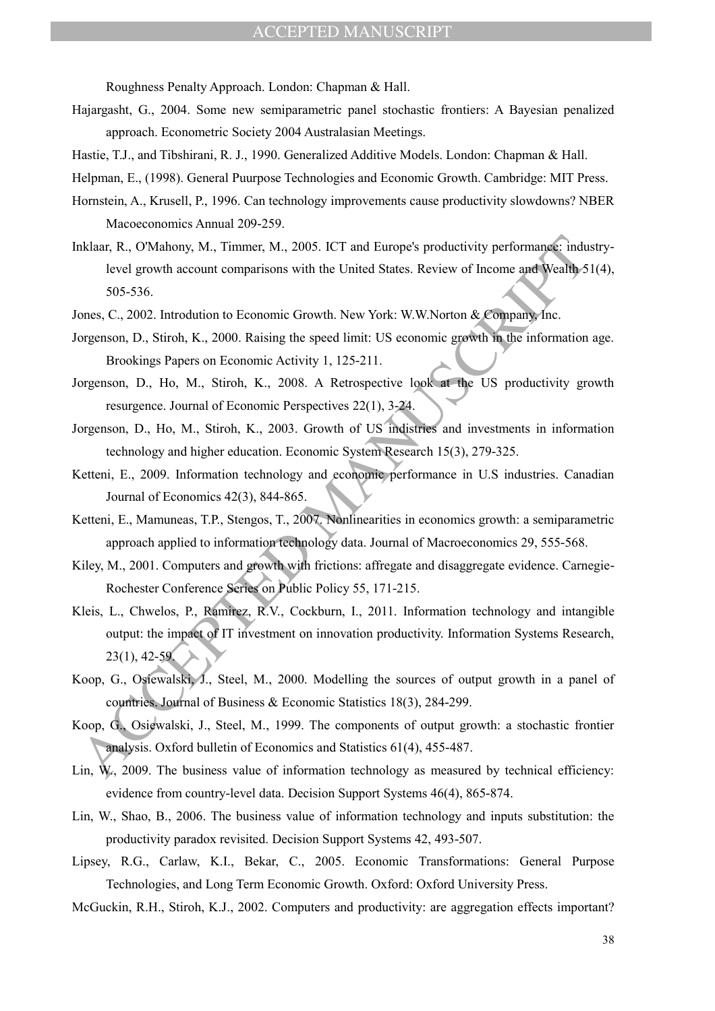Roughness Penalty Approach. London: Chapman & Hall.

- Hajargasht, G., 2004. Some new semiparametric panel stochastic frontiers: A Bayesian penalized approach. Econometric Society 2004 Australasian Meetings.
- Hastie, T.J., and Tibshirani, R. J., 1990. Generalized Additive Models. London: Chapman & Hall.
- Helpman, E., (1998). General Puurpose Technologies and Economic Growth. Cambridge: MIT Press.
- Hornstein, A., Krusell, P., 1996. Can technology improvements cause productivity slowdowns? NBER Macoeconomics Annual 209-259.
- Roland, R., O'Mahony, M., Timmer, M., 2005. ICT and Europe's productivity performances inducted growth account comparisons with the United States. Review of Income and Wealth Sons. 5.6, 536.<br>
SUS-536.<br>
C., 2002. Introducti Inklaar, R., O'Mahony, M., Timmer, M., 2005. ICT and Europe's productivity performance: industrylevel growth account comparisons with the United States. Review of Income and Wealth 51(4), 505-536.
- Jones, C., 2002. Introdution to Economic Growth. New York: W.W.Norton & Company, Inc.
- Jorgenson, D., Stiroh, K., 2000. Raising the speed limit: US economic growth in the information age. Brookings Papers on Economic Activity 1, 125-211.
- Jorgenson, D., Ho, M., Stiroh, K., 2008. A Retrospective look at the US productivity growth resurgence. Journal of Economic Perspectives 22(1), 3-24.
- Jorgenson, D., Ho, M., Stiroh, K., 2003. Growth of US indistries and investments in information technology and higher education. Economic System Research 15(3), 279-325.
- Ketteni, E., 2009. Information technology and economic performance in U.S industries. Canadian Journal of Economics 42(3), 844-865.
- Ketteni, E., Mamuneas, T.P., Stengos, T., 2007. Nonlinearities in economics growth: a semiparametric approach applied to information technology data. Journal of Macroeconomics 29, 555-568.
- Kiley, M., 2001. Computers and growth with frictions: affregate and disaggregate evidence. Carnegie-Rochester Conference Series on Public Policy 55, 171-215.
- Kleis, L., Chwelos, P., Ramirez, R.V., Cockburn, I., 2011. Information technology and intangible output: the impact of IT investment on innovation productivity. Information Systems Research, 23(1), 42-59.
- Koop, G., Osiewalski, J., Steel, M., 2000. Modelling the sources of output growth in a panel of countries. Journal of Business & Economic Statistics 18(3), 284-299.
- Koop, G., Osiewalski, J., Steel, M., 1999. The components of output growth: a stochastic frontier analysis. Oxford bulletin of Economics and Statistics 61(4), 455-487.
- Lin,  $W_1$ , 2009. The business value of information technology as measured by technical efficiency: evidence from country-level data. Decision Support Systems 46(4), 865-874.
- Lin, W., Shao, B., 2006. The business value of information technology and inputs substitution: the productivity paradox revisited. Decision Support Systems 42, 493-507.
- Lipsey, R.G., Carlaw, K.I., Bekar, C., 2005. Economic Transformations: General Purpose Technologies, and Long Term Economic Growth. Oxford: Oxford University Press.
- McGuckin, R.H., Stiroh, K.J., 2002. Computers and productivity: are aggregation effects important?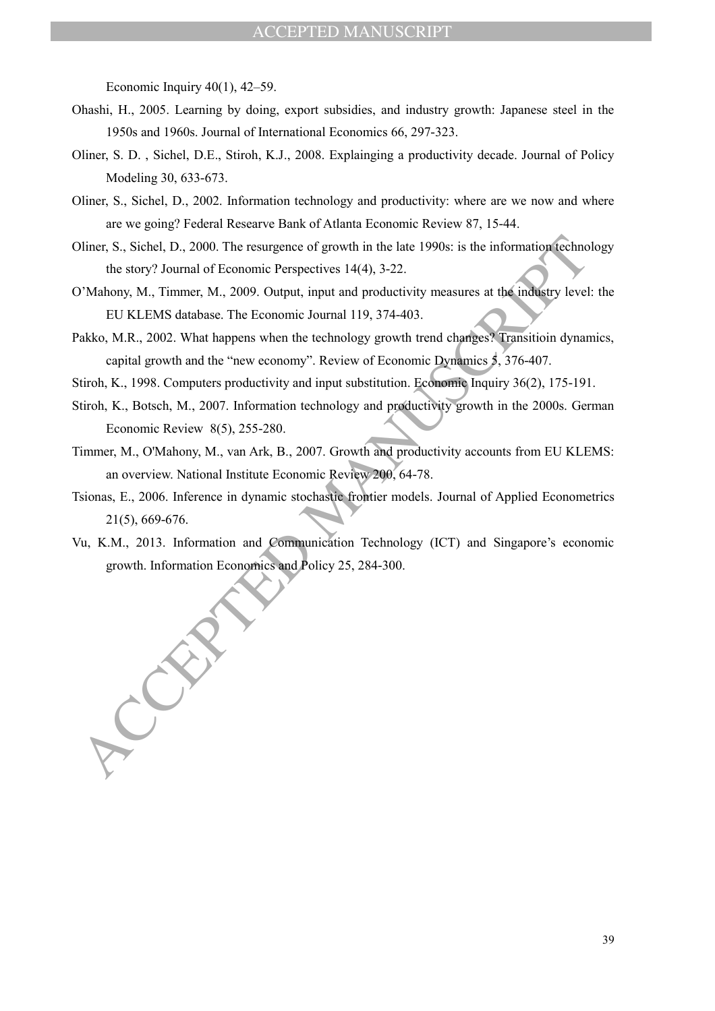Economic Inquiry  $40(1)$ ,  $42-59$ .

- Ohashi, H., 2005. Learning by doing, export subsidies, and industry growth: Japanese steel in the 1950s and 1960s. Journal of International Economics 66, 297-323.
- Oliner, S. D. , Sichel, D.E., Stiroh, K.J., 2008. Explainging a productivity decade. Journal of Policy Modeling 30, 633-673.
- Oliner, S., Sichel, D., 2002. Information technology and productivity: where are we now and where are we going? Federal Researve Bank of Atlanta Economic Review 87, 15-44.
- Oliner, S., Sichel, D., 2000. The resurgence of growth in the late 1990s: is the information technology the story? Journal of Economic Perspectives 14(4), 3-22.
- O'Mahony, M., Timmer, M., 2009. Output, input and productivity measures at the industry level: the EU KLEMS database. The Economic Journal 119, 374-403.
- Diner, S., Sichel, D., 2000. The resurgence of growth in the late 1990s: is the information destroy? Journal of Economic Perspectives 14(4), 3-22.<br>
The Manuscript (Manuscript (Manuscript (Manuscript) (Manuscript (EU KLEMS Pakko, M.R., 2002. What happens when the technology growth trend changes? Transitioin dynamics, capital growth and the "new economy". Review of Economic Dynamics 5, 376-407.
- Stiroh, K., 1998. Computers productivity and input substitution. Economic Inquiry 36(2), 175-191.
- Stiroh, K., Botsch, M., 2007. Information technology and productivity growth in the 2000s. German Economic Review 8(5), 255-280.
- Timmer, M., O'Mahony, M., van Ark, B., 2007. Growth and productivity accounts from EU KLEMS: an overview. National Institute Economic Review 200, 64-78.
- Tsionas, E., 2006. Inference in dynamic stochastic frontier models. Journal of Applied Econometrics 21(5), 669-676.
- Vu, K.M., 2013. Information and Communication Technology (ICT) and Singapore's economic growth. Information Economics and Policy 25, 284-300.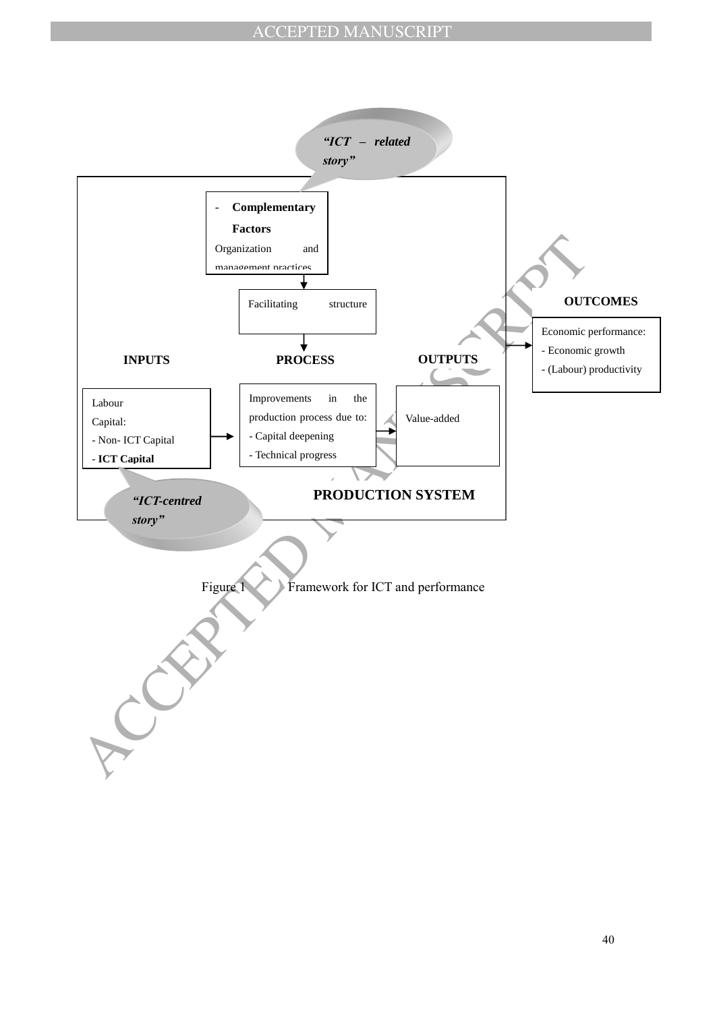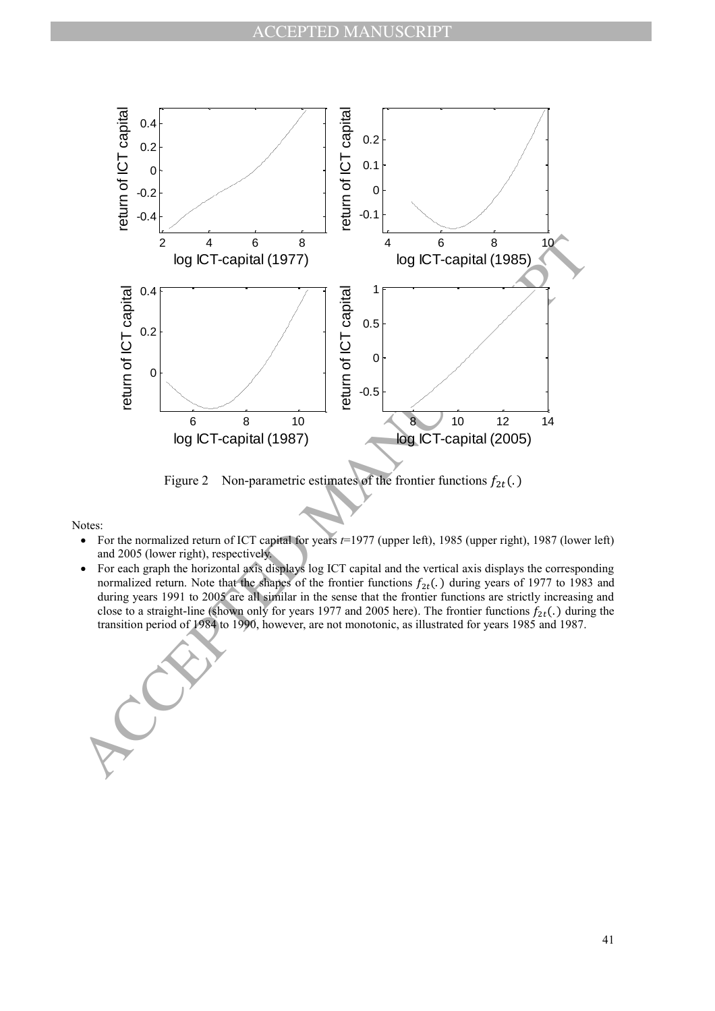

Figure 2 Non-parametric estimates of the frontier functions  $f_{2t}(.)$ 

- For the normalized return of ICT capital for years *t*=1977 (upper left), 1985 (upper right), 1987 (lower left) and 2005 (lower right), respectively.
- For each graph the horizontal axis displays log ICT capital and the vertical axis displays the corresponding normalized return. Note that the shapes of the frontier functions  $f_{2t}$ . ) during years of 1977 to 1983 and during years 1991 to 2005 are all similar in the sense that the frontier functions are strictly increasing and close to a straight-line (shown only for years 1977 and 2005 here). The frontier functions  $f_{2t}$ (.) during the transition period of 1984 to 1990, however, are not monotonic, as illustrated for years 1985 and 1987.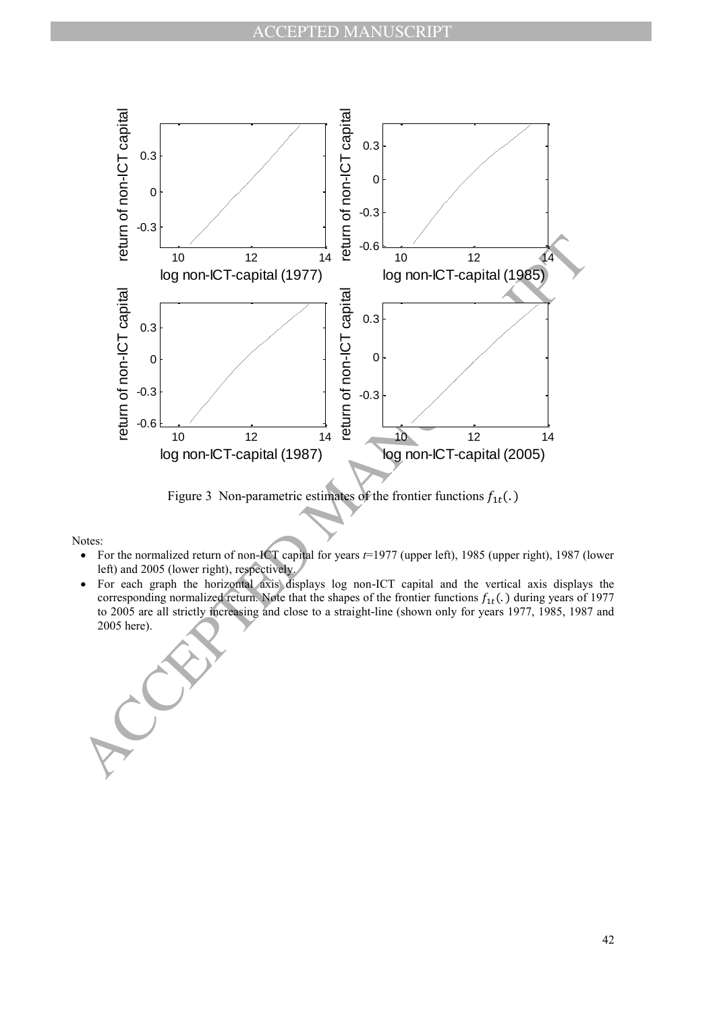

Figure 3 Non-parametric estimates of the frontier functions  $f_{1t}(.)$ 

- For the normalized return of non-ICT capital for years *t*=1977 (upper left), 1985 (upper right), 1987 (lower left) and 2005 (lower right), respectively.
- For each graph the horizontal axis displays log non-ICT capital and the vertical axis displays the corresponding normalized return. Note that the shapes of the frontier functions  $f_{1t}$ . ) during years of 1977 to 2005 are all strictly increasing and close to a straight-line (shown only for years 1977, 1985, 1987 and 2005 here).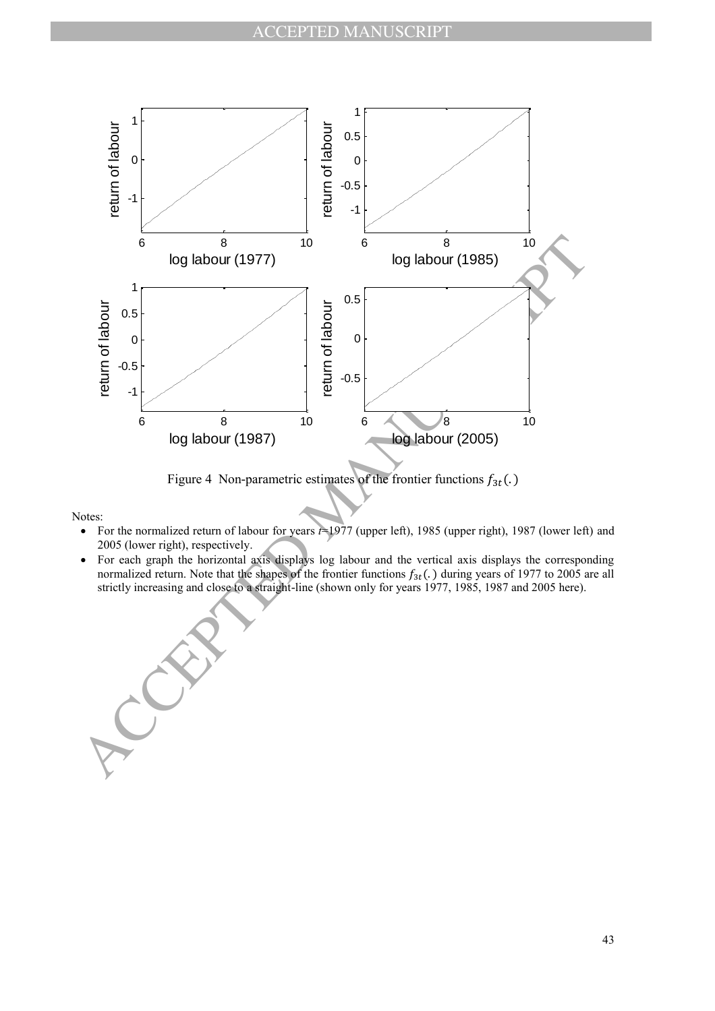

Figure 4 Non-parametric estimates of the frontier functions  $f_{3t}(.)$ 

- For the normalized return of labour for years *t*=1977 (upper left), 1985 (upper right), 1987 (lower left) and 2005 (lower right), respectively.
- For each graph the horizontal axis displays log labour and the vertical axis displays the corresponding normalized return. Note that the shapes of the frontier functions  $f_{3t}$ . ) during years of 1977 to 2005 are all strictly increasing and close to a straight-line (shown only for years 1977, 1985, 1987 and 2005 here).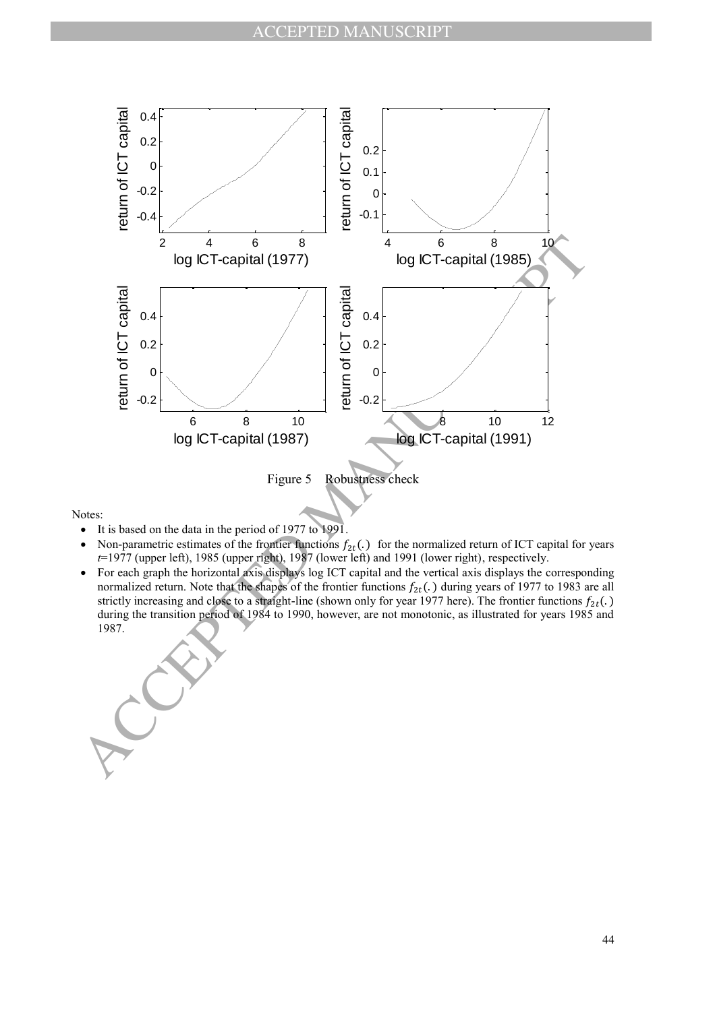

- It is based on the data in the period of 1977 to 1991.
- Non-parametric estimates of the frontier functions  $f_{2t}$ . ) for the normalized return of ICT capital for years *t*=1977 (upper left), 1985 (upper right), 1987 (lower left) and 1991 (lower right), respectively.
- For each graph the horizontal axis displays log ICT capital and the vertical axis displays the corresponding normalized return. Note that the shapes of the frontier functions  $f_{2t}$ . ) during years of 1977 to 1983 are all strictly increasing and close to a straight-line (shown only for year 1977 here). The frontier functions  $f_{2t}(.)$ during the transition period of 1984 to 1990, however, are not monotonic, as illustrated for years 1985 and 1987.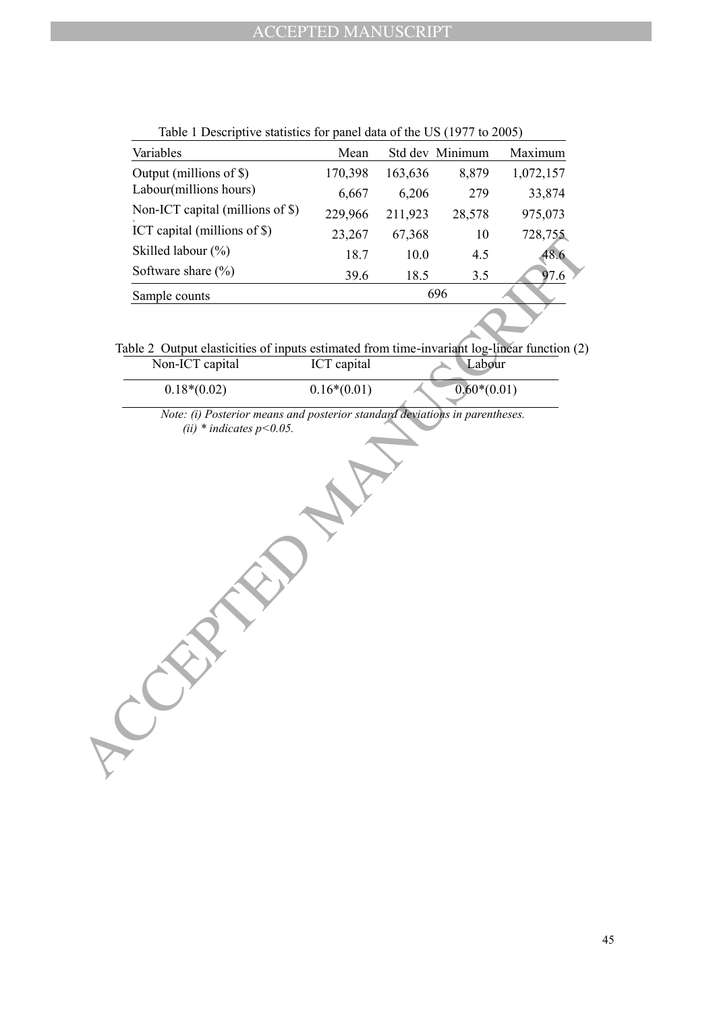| Variables                        | Mean    |         | Std dev Minimum | Maximum   |
|----------------------------------|---------|---------|-----------------|-----------|
| Output (millions of \$)          | 170,398 | 163,636 | 8,879           | 1,072,157 |
| Labour(millions hours)           | 6,667   | 6,206   | 279             | 33,874    |
| Non-ICT capital (millions of \$) | 229,966 | 211,923 | 28,578          | 975,073   |
| ICT capital (millions of \$)     | 23,267  | 67,368  | 10              | 728,755   |
| Skilled labour (%)               | 18.7    | 10.0    | 4.5             | 48.6      |
| Software share $(\% )$           | 39.6    | 18.5    | 3.5             | 97.6      |
| Sample counts                    |         |         | 696             |           |

| Table 1 Descriptive statistics for panel data of the US (1977 to 2005) |
|------------------------------------------------------------------------|
|------------------------------------------------------------------------|

Table 2 Output elasticities of inputs estimated from time-invariant log-linear function (2)

| Non-ICT capital                | ICT capital   | Labour        |
|--------------------------------|---------------|---------------|
| $0.18*(0.02)$                  | $0.16*(0.01)$ | $0.60*(0.01)$ |
| $\sim$ $\sim$<br>$\sim$ $\sim$ |               |               |

**CEPTED MANUSCRIPT** *Note: (i) Posterior means and posterior standard deviations in parentheses. (ii) \* indicates p<0.05.*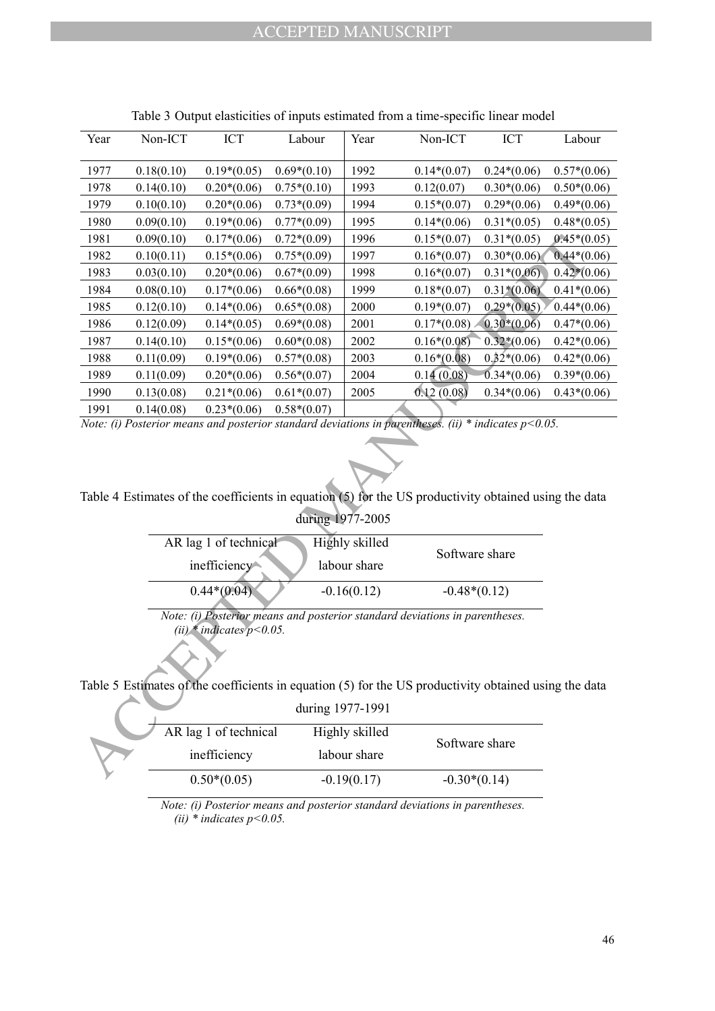| Year                                                                                                                      | Non-ICT                                                                                                 | ICT                   | Labour        | Year           | Non-ICT             | <b>ICT</b>    | Labour        |
|---------------------------------------------------------------------------------------------------------------------------|---------------------------------------------------------------------------------------------------------|-----------------------|---------------|----------------|---------------------|---------------|---------------|
| 1977                                                                                                                      | 0.18(0.10)                                                                                              | $0.19*(0.05)$         | $0.69*(0.10)$ | 1992           | $0.14*(0.07)$       | $0.24*(0.06)$ | $0.57*(0.06)$ |
| 1978                                                                                                                      | 0.14(0.10)                                                                                              | $0.20*(0.06)$         | $0.75*(0.10)$ | 1993           | 0.12(0.07)          | $0.30*(0.06)$ | $0.50*(0.06)$ |
| 1979                                                                                                                      | 0.10(0.10)                                                                                              | $0.20*(0.06)$         | $0.73*(0.09)$ | 1994           | $0.15*(0.07)$       | $0.29*(0.06)$ | $0.49*(0.06)$ |
| 1980                                                                                                                      | 0.09(0.10)                                                                                              | $0.19*(0.06)$         | $0.77*(0.09)$ | 1995           | $0.14*(0.06)$       | $0.31*(0.05)$ | $0.48*(0.05)$ |
| 1981                                                                                                                      | 0.09(0.10)                                                                                              | $0.17*(0.06)$         | $0.72*(0.09)$ | 1996           | $0.15*(0.07)$       | $0.31*(0.05)$ | $0.45*(0.05)$ |
| 1982                                                                                                                      | 0.10(0.11)                                                                                              | $0.15*(0.06)$         | $0.75*(0.09)$ | 1997           | $0.16*(0.07)$       | $0.30*(0.06)$ | $0.44*(0.06)$ |
| 1983                                                                                                                      | 0.03(0.10)                                                                                              | $0.20*(0.06)$         | $0.67*(0.09)$ | 1998           | $0.16*(0.07)$       | $0.31*(0.06)$ | $0.42*(0.06)$ |
| 1984                                                                                                                      | 0.08(0.10)                                                                                              | $0.17*(0.06)$         | $0.66*(0.08)$ | 1999           | $0.18*(0.07)$       | $0.31*(0.06)$ | $0.41*(0.06)$ |
| 1985                                                                                                                      | 0.12(0.10)                                                                                              | $0.14*(0.06)$         | $0.65*(0.08)$ | 2000           | $0.19*(0.07)$       | $0.29*(0.05)$ | $0.44*(0.06)$ |
| 1986                                                                                                                      | 0.12(0.09)                                                                                              | $0.14*(0.05)$         | $0.69*(0.08)$ | 2001           | $0.17*(0.08)$       | $0.30*(0.06)$ | $0.47*(0.06)$ |
| 1987                                                                                                                      | 0.14(0.10)                                                                                              | $0.15*(0.06)$         | $0.60*(0.08)$ | 2002           | $0.16*(0.08)$       | $0.32*(0.06)$ | $0.42*(0.06)$ |
| 1988                                                                                                                      | 0.11(0.09)                                                                                              | $0.19*(0.06)$         | $0.57*(0.08)$ | 2003           | $0.16*(0.08)$       | $0.32*(0.06)$ | $0.42*(0.06)$ |
| 1989                                                                                                                      | 0.11(0.09)                                                                                              | $0.20*(0.06)$         | $0.56*(0.07)$ | 2004           | 0.14(0.08)          | $0.34*(0.06)$ | $0.39*(0.06)$ |
| 1990                                                                                                                      | 0.13(0.08)                                                                                              | $0.21*(0.06)$         | $0.61*(0.07)$ | 2005           | 0.12(0.08)          | $0.34*(0.06)$ | $0.43*(0.06)$ |
| 1991                                                                                                                      | 0.14(0.08)                                                                                              | $0.23*(0.06)$         | $0.58*(0.07)$ |                |                     |               |               |
|                                                                                                                           | Note: (i) Posterior means and posterior standard deviations in parentheses. (ii) * indicates $p<0.05$ . |                       |               |                |                     |               |               |
| Table 4 Estimates of the coefficients in equation (5) for the US productivity obtained using the data<br>during 1977-2005 |                                                                                                         |                       |               |                |                     |               |               |
| AR lag 1 of technical<br>Highly skilled                                                                                   |                                                                                                         |                       |               |                |                     |               |               |
| Software share<br>inefficiency<br>labour share                                                                            |                                                                                                         |                       |               |                |                     |               |               |
| $0.44*(0.04)$<br>$-0.16(0.12)$<br>$-0.48*(0.12)$                                                                          |                                                                                                         |                       |               |                |                     |               |               |
| Note: (i) Posterior means and posterior standard deviations in parentheses.<br>(ii) * indicates $p<0.05$ .                |                                                                                                         |                       |               |                |                     |               |               |
| Table 5 Estimates of the coefficients in equation (5) for the US productivity obtained using the data                     |                                                                                                         |                       |               |                |                     |               |               |
| during 1977-1991                                                                                                          |                                                                                                         |                       |               |                |                     |               |               |
|                                                                                                                           |                                                                                                         |                       |               |                |                     |               |               |
|                                                                                                                           |                                                                                                         | AR lag 1 of technical |               | Highly skilled | Software share      |               |               |
|                                                                                                                           |                                                                                                         | inefficiency          |               | labour share   |                     |               |               |
|                                                                                                                           |                                                                                                         | $0.50*(0.05)$         |               | 0.10(0.17)     | <u>ስ ኃስ¥ሪስ 1 ለነ</u> |               |               |

Table 3 Output elasticities of inputs estimated from a time-specific linear model

| AR lag 1 of technical | Highly skilled |                |
|-----------------------|----------------|----------------|
| inefficiency          | labour share   | Software share |
| $0.44*(0.04)$         | $-0.16(0.12)$  | $-0.48*(0.12)$ |

Table 5 Estimates of the coefficients in equation (5) for the US productivity obtained using the data

|                       | during 1977-1991 |                |  |
|-----------------------|------------------|----------------|--|
| AR lag 1 of technical | Highly skilled   | Software share |  |
| inefficiency          | labour share     |                |  |
| $0.50*(0.05)$         | $-0.19(0.17)$    | $-0.30*(0.14)$ |  |

*Note: (i) Posterior means and posterior standard deviations in parentheses. (ii) \* indicates p<0.05.*